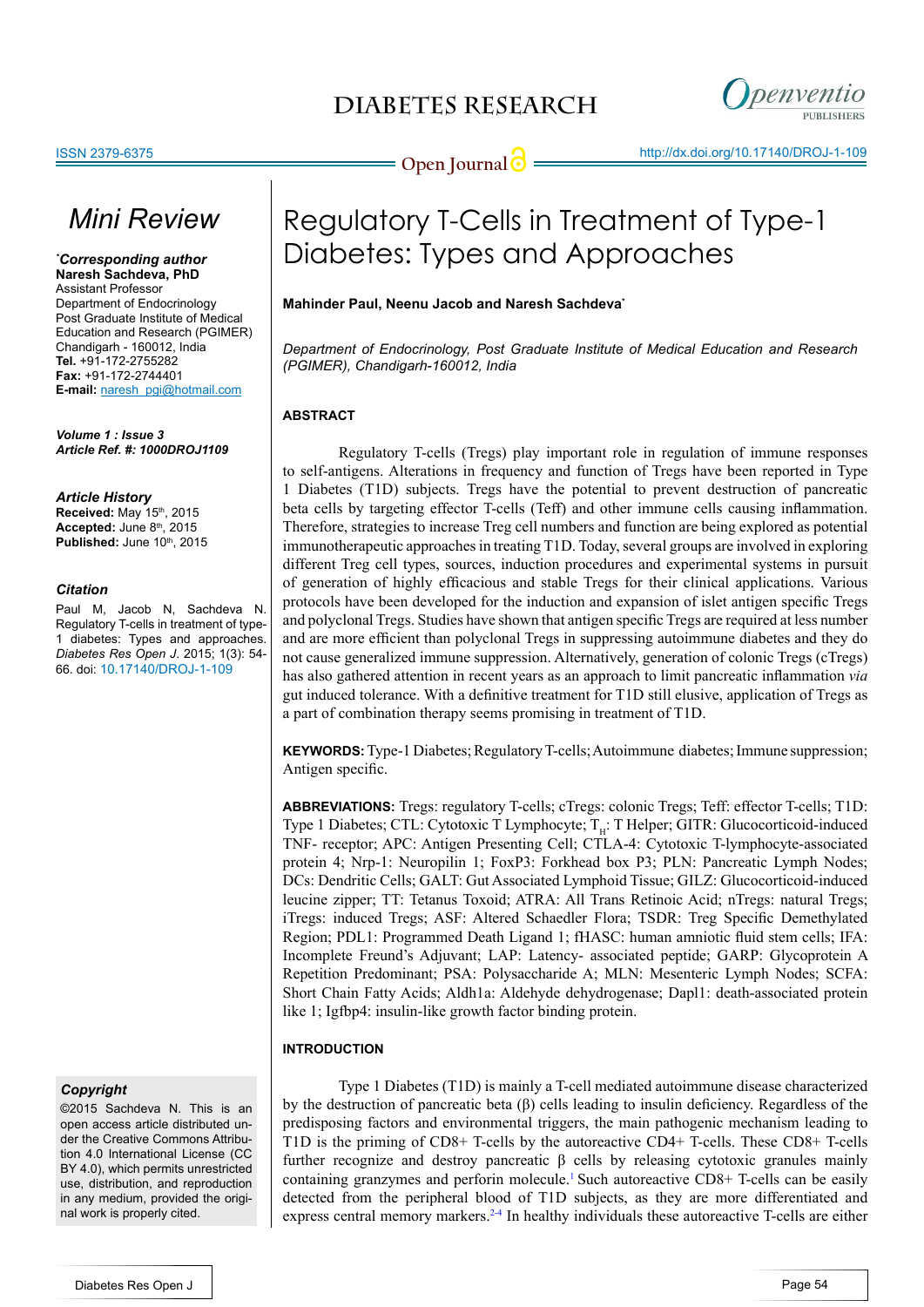

# *Mini Review*

*\* Corresponding author* **Naresh Sachdeva, PhD** Assistant Professor Department of Endocrinology Post Graduate Institute of Medical Education and Research (PGIMER) Chandigarh - 160012, India **Tel.** +91-172-2755282 **Fax:** +91-172-2744401 **E-mail:** naresh\_pgi@hotmail.com

*Volume 1 : Issue 3 Article Ref. #: 1000DROJ1109*

### *Article History*

**Received:** May 15th, 2015 Accepted: June 8<sup>th</sup>, 2015 **Published:** June 10th, 2015

#### *Citation*

Paul M, Jacob N, Sachdeva N. Regulatory T-cells in treatment of type-1 diabetes: Types and approaches. *Diabetes Res Open J*. 2015; 1(3): 54- 66. doi: [10.17140/DROJ-1-109](http://openventio.org/Volume1_Issue3/Regulatory_T_Cells_in_Treatment_of_Type_1_Diabetes_Types_and_Approaches_DROJ_1_109.pdf)

### *Copyright*

©2015 Sachdeva N. This is an open access article distributed under the Creative Commons Attribution 4.0 International License (CC BY 4.0), which permits unrestricted use, distribution, and reproduction in any medium, provided the original work is properly cited.

# Regulatory T-Cells in Treatment of Type-1 Diabetes: Types and Approaches

### **Mahinder Paul, Neenu Jacob and Naresh Sachdeva\***

*Department of Endocrinology, Post Graduate Institute of Medical Education and Research (PGIMER), Chandigarh-160012, India*

### **ABSTRACT**

Regulatory T-cells (Tregs) play important role in regulation of immune responses to self-antigens. Alterations in frequency and function of Tregs have been reported in Type 1 Diabetes (T1D) subjects. Tregs have the potential to prevent destruction of pancreatic beta cells by targeting effector T-cells (Teff) and other immune cells causing inflammation. Therefore, strategies to increase Treg cell numbers and function are being explored as potential immunotherapeutic approaches in treating T1D. Today, several groups are involved in exploring different Treg cell types, sources, induction procedures and experimental systems in pursuit of generation of highly efficacious and stable Tregs for their clinical applications. Various protocols have been developed for the induction and expansion of islet antigen specific Tregs and polyclonal Tregs. Studies have shown that antigen specific Tregs are required at less number and are more efficient than polyclonal Tregs in suppressing autoimmune diabetes and they do not cause generalized immune suppression. Alternatively, generation of colonic Tregs (cTregs) has also gathered attention in recent years as an approach to limit pancreatic inflammation *via* gut induced tolerance. With a definitive treatment for T1D still elusive, application of Tregs as a part of combination therapy seems promising in treatment of T1D.

**KEYWORDS:** Type-1 Diabetes; Regulatory T-cells; Autoimmune diabetes; Immune suppression; Antigen specific.

**ABBREVIATIONS:** Tregs: regulatory T-cells; cTregs: colonic Tregs; Teff: effector T-cells; T1D: Type 1 Diabetes; CTL: Cytotoxic T Lymphocyte; T<sub>u</sub>: T Helper; GITR: Glucocorticoid-induced TNF- receptor; APC: Antigen Presenting Cell; CTLA-4: Cytotoxic T-lymphocyte-associated protein 4; Nrp-1: Neuropilin 1; FoxP3: Forkhead box P3; PLN: Pancreatic Lymph Nodes; DCs: Dendritic Cells; GALT: Gut Associated Lymphoid Tissue; GILZ: Glucocorticoid-induced leucine zipper; TT: Tetanus Toxoid; ATRA: All Trans Retinoic Acid; nTregs: natural Tregs; iTregs: induced Tregs; ASF: Altered Schaedler Flora; TSDR: Treg Specific Demethylated Region; PDL1: Programmed Death Ligand 1; fHASC: human amniotic fluid stem cells; IFA: Incomplete Freund's Adjuvant; LAP: Latency- associated peptide; GARP: Glycoprotein A Repetition Predominant; PSA: Polysaccharide A; MLN: Mesenteric Lymph Nodes; SCFA: Short Chain Fatty Acids; Aldh1a: Aldehyde dehydrogenase; Dapl1: death-associated protein like 1; Igfbp4: insulin-like growth factor binding protein.

### **INTRODUCTION**

Type 1 Diabetes (T1D) is mainly a T-cell mediated autoimmune disease characterized by the destruction of pancreatic beta (β) cells leading to insulin deficiency. Regardless of the predisposing factors and environmental triggers, the main pathogenic mechanism leading to T1D is the priming of CD8+ T-cells by the autoreactive CD4+ T-cells. These CD8+ T-cells further recognize and destroy pancreatic β cells by releasing cytotoxic granules mainly containing granzymes and perforin molecule[.1](#page-5-0) Such autoreactive CD8+ T-cells can be easily detected from the peripheral blood of T1D subjects, as they are more differentiated and express central memory markers.<sup>24</sup> In healthy individuals these autoreactive T-cells are either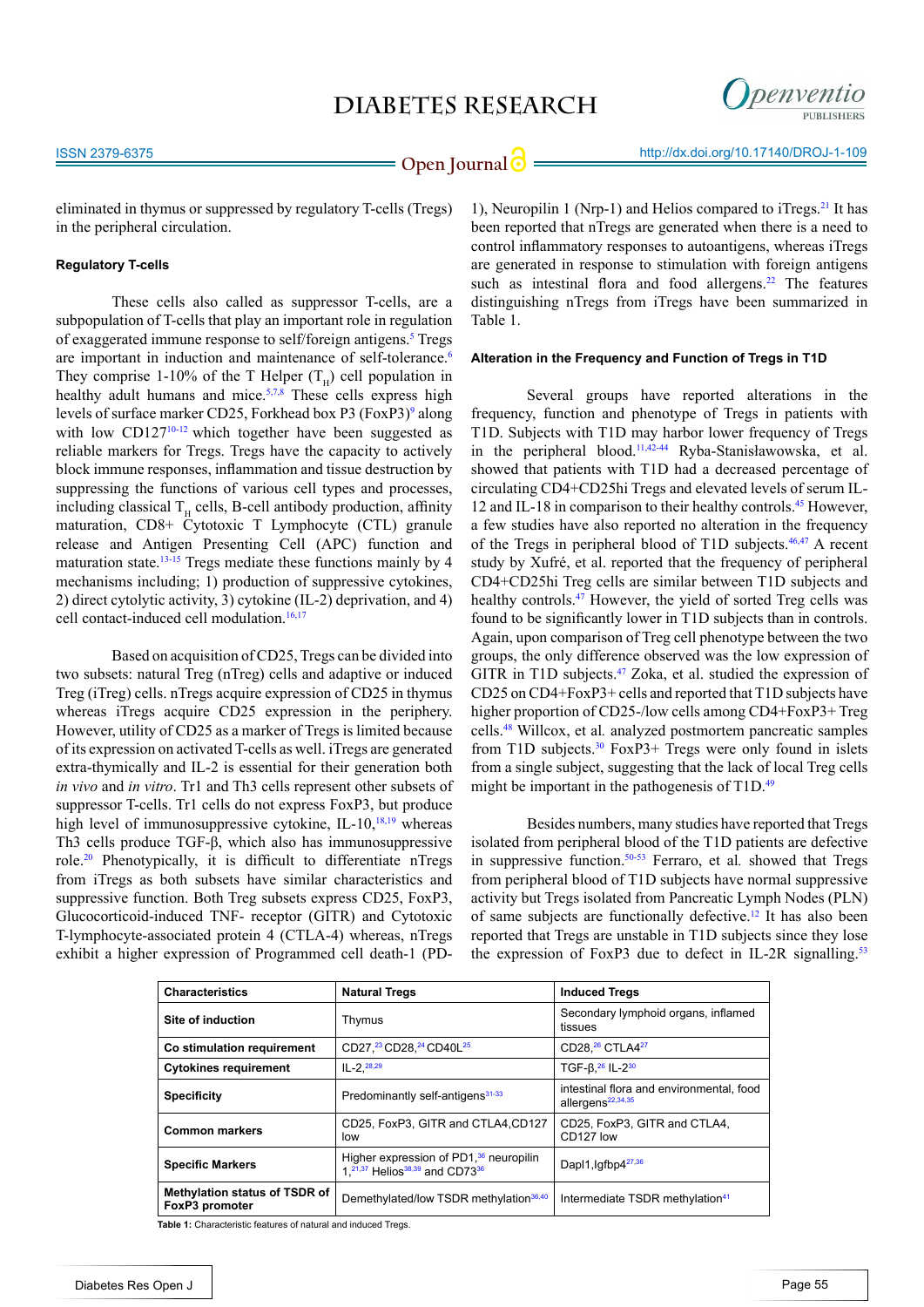

eliminated in thymus or suppressed by regulatory T-cells (Tregs) in the peripheral circulation.

### **Regulatory T-cells**

These cells also called as suppressor T-cells, are a subpopulation of T-cells that play an important role in regulation of exaggerated immune response to self/foreign antigens.<sup>5</sup> Tregs are important in induction and maintenance of self-tolerance.<sup>[6](#page-5-3)</sup> They comprise 1-10% of the T Helper  $(T<sub>H</sub>)$  cell population in healthy adult humans and mice.<sup>[5](#page-5-2),[7,8](#page-5-4)</sup> These cells express high levels of surface marker CD25, Forkhead box P3 (FoxP3)<sup>9</sup> along with low  $CD127^{10-12}$  $CD127^{10-12}$  $CD127^{10-12}$  which together have been suggested as reliable markers for Tregs. Tregs have the capacity to actively block immune responses, inflammation and tissue destruction by suppressing the functions of various cell types and processes, including classical  $T_H$  cells, B-cell antibody production, affinity maturation, CD8+ Cytotoxic T Lymphocyte (CTL) granule release and Antigen Presenting Cell (APC) function and maturation state.<sup>13-15</sup> Tregs mediate these functions mainly by 4 mechanisms including; 1) production of suppressive cytokines, 2) direct cytolytic activity, 3) cytokine (IL-2) deprivation, and 4) cell contact-induced cell modulation.<sup>16,17</sup>

Based on acquisition of CD25, Tregs can be divided into two subsets: natural Treg (nTreg) cells and adaptive or induced Treg (iTreg) cells. nTregs acquire expression of CD25 in thymus whereas iTregs acquire CD25 expression in the periphery. However, utility of CD25 as a marker of Tregs is limited because of its expression on activated T-cells as well. iTregs are generated extra-thymically and IL-2 is essential for their generation both *in vivo* and *in vitro*. Tr1 and Th3 cells represent other subsets of suppressor T-cells. Tr1 cells do not express FoxP3, but produce high level of immunosuppressive cytokine, IL-10, $^{18,19}$  whereas Th3 cells produce TGF-β, which also has immunosuppressive role[.20](#page-6-4) Phenotypically, it is difficult to differentiate nTregs from iTregs as both subsets have similar characteristics and suppressive function. Both Treg subsets express CD25, FoxP3, Glucocorticoid-induced TNF- receptor (GITR) and Cytotoxic T-lymphocyte-associated protein 4 (CTLA-4) whereas, nTregs exhibit a higher expression of Programmed cell death-1 (PD-

1), Neuropilin 1 (Nrp-1) and Helios compared to iTregs.<sup>21</sup> It has been reported that nTregs are generated when there is a need to control inflammatory responses to autoantigens, whereas iTregs are generated in response to stimulation with foreign antigens such as intestinal flora and food allergens.<sup>22</sup> The features distinguishing nTregs from iTregs have been summarized in Table 1.

#### **Alteration in the Frequency and Function of Tregs in T1D**

Several groups have reported alterations in the frequency, function and phenotype of Tregs in patients with T1D. Subjects with T1D may harbor lower frequency of Tregs in the peripheral blood.11[,42-44](#page-7-0) Ryba-Stanisławowska, et al. showed that patients with T1D had a decreased percentage of circulating CD4+CD25hi Tregs and elevated levels of serum IL-12 and IL-18 in comparison to their healthy controls.45 However, a few studies have also reported no alteration in the frequency of the Tregs in peripheral blood of T1D subjects. $46,47$  A recent study by Xufré, et al. reported that the frequency of peripheral CD4+CD25hi Treg cells are similar between T1D subjects and healthy controls.<sup>47</sup> However, the yield of sorted Treg cells was found to be significantly lower in T1D subjects than in controls. Again, upon comparison of Treg cell phenotype between the two groups, the only difference observed was the low expression of GITR in T1D subjects.<sup>47</sup> Zoka, et al. studied the expression of CD25 on CD4+FoxP3+ cells and reported that T1D subjects have higher proportion of CD25-/low cells among CD4+FoxP3+ Treg cells[.48](#page-7-2) Willcox, et al*.* analyzed postmortem pancreatic samples from T1D subjects.<sup>[30](#page-6-6)</sup> FoxP3+ Tregs were only found in islets from a single subject, suggesting that the lack of local Treg cells might be important in the pathogenesis of  $T1D<sup>49</sup>$ 

Besides numbers, many studies have reported that Tregs isolated from peripheral blood of the T1D patients are defective in suppressive function.[50-53](#page-7-4) Ferraro, et al*.* showed that Tregs from peripheral blood of T1D subjects have normal suppressive activity but Tregs isolated from Pancreatic Lymph Nodes (PLN) of same subjects are functionally defective.[12](#page-6-7) It has also been reported that Tregs are unstable in T1D subjects since they lose the expression of FoxP3 due to defect in IL-2R signalling.<sup>53</sup>

| <b>Characteristics</b>                          | <b>Natural Tregs</b>                                                           | <b>Induced Tregs</b>                                                      |  |
|-------------------------------------------------|--------------------------------------------------------------------------------|---------------------------------------------------------------------------|--|
| Site of induction                               | Thymus                                                                         | Secondary lymphoid organs, inflamed<br>tissues                            |  |
| Co stimulation requirement                      | CD27, <sup>23</sup> CD28, <sup>24</sup> CD40L <sup>25</sup>                    | CD28, <sup>26</sup> CTLA4 <sup>27</sup>                                   |  |
| <b>Cytokines requirement</b>                    | $IL - 2.28,29$                                                                 | TGF- $\beta$ , $^{26}$ IL- $2^{30}$                                       |  |
| <b>Specificity</b>                              | Predominantly self-antigens <sup>31-33</sup>                                   | intestinal flora and environmental, food<br>allergens <sup>22,34,35</sup> |  |
| <b>Common markers</b>                           | CD25, FoxP3, GITR and CTLA4, CD127<br>low                                      | CD25, FoxP3, GITR and CTLA4,<br>CD127 low                                 |  |
| <b>Specific Markers</b>                         | Higher expression of $PD136$ neuropilin<br>1, 21, 37 Helios 38, 39 and CD73 36 | Dapl1, Igfbp4 <sup>27,36</sup>                                            |  |
| Methylation status of TSDR of<br>FoxP3 promoter | Demethylated/low TSDR methylation <sup>36,40</sup>                             | Intermediate TSDR methylation <sup>41</sup>                               |  |

**Table 1:** Characteristic features of natural and induced Tregs.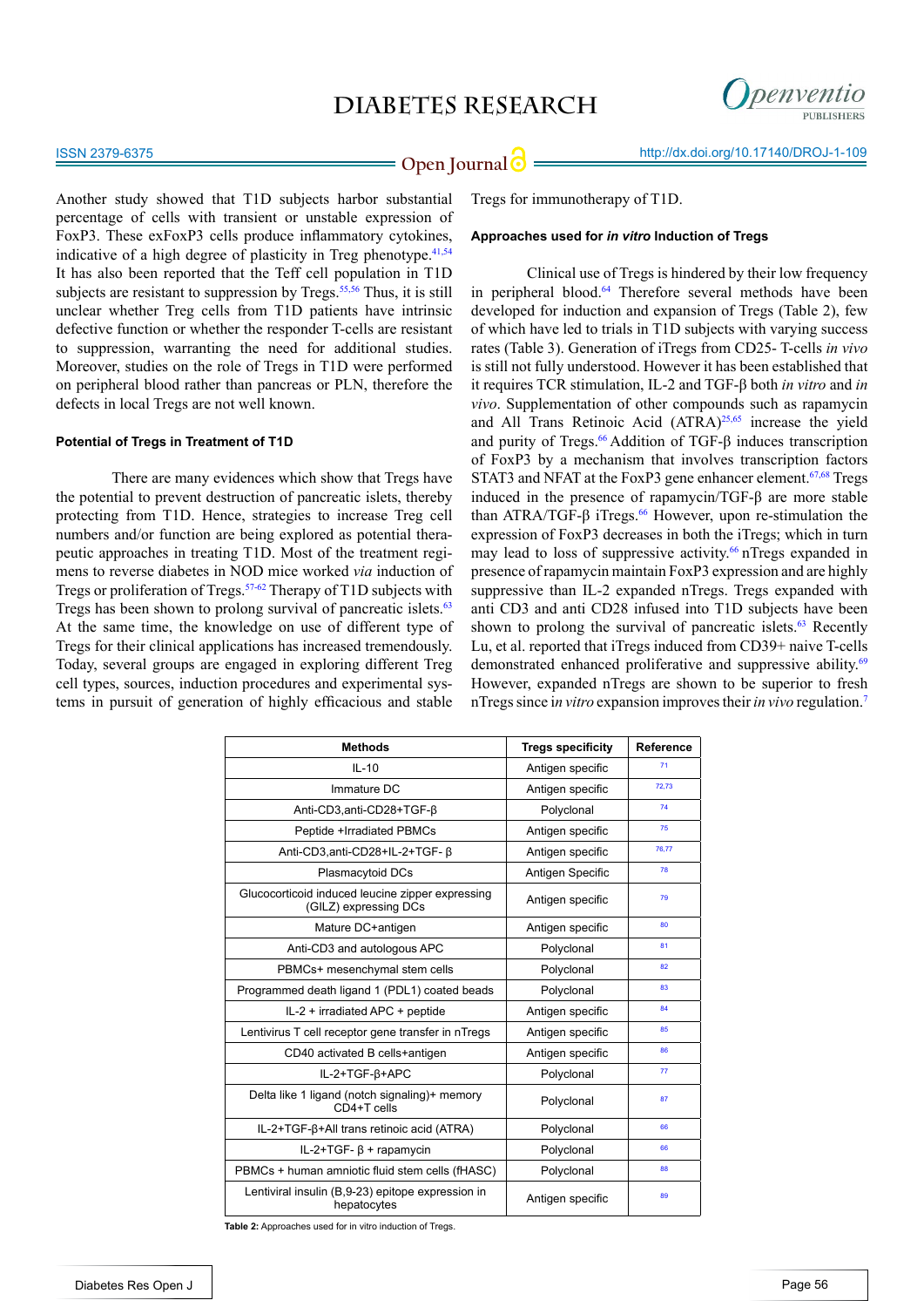

**Open Journal | implicit in the intervention of the Uppen Journal | G = 0.14.169 http://dx.doi.org/10.17140/DROJ-1-109** 

Another study showed that T1D subjects harbor substantial percentage of cells with transient or unstable expression of FoxP3. These exFoxP3 cells produce inflammatory cytokines, indicative of a high degree of plasticity in Treg phenotype.<sup>[41](#page-7-11),[54](#page-8-0)</sup> It has also been reported that the Teff cell population in T1D subjects are resistant to suppression by Tregs.<sup> $55,56$ </sup> Thus, it is still unclear whether Treg cells from T1D patients have intrinsic defective function or whether the responder T-cells are resistant to suppression, warranting the need for additional studies. Moreover, studies on the role of Tregs in T1D were performed on peripheral blood rather than pancreas or PLN, therefore the defects in local Tregs are not well known.

#### **Potential of Tregs in Treatment of T1D**

There are many evidences which show that Tregs have the potential to prevent destruction of pancreatic islets, thereby protecting from T1D. Hence, strategies to increase Treg cell numbers and/or function are being explored as potential therapeutic approaches in treating T1D. Most of the treatment regimens to reverse diabetes in NOD mice worked *via* induction of Tregs or proliferation of Tregs[.57-62](#page-8-2) Therapy of T1D subjects with Tregs has been shown to prolong survival of pancreatic islets.<sup>[63](#page-8-3)</sup> At the same time, the knowledge on use of different type of Tregs for their clinical applications has increased tremendously. Today, several groups are engaged in exploring different Treg cell types, sources, induction procedures and experimental systems in pursuit of generation of highly efficacious and stable

Tregs for immunotherapy of T1D.

#### **Approaches used for** *in vitro* **Induction of Tregs**

Clinical use of Tregs is hindered by their low frequency in peripheral blood.<sup>64</sup> Therefore several methods have been developed for induction and expansion of Tregs (Table 2), few of which have led to trials in T1D subjects with varying success rates (Table 3). Generation of iTregs from CD25- T-cells *in vivo* is still not fully understood. However it has been established that it requires TCR stimulation, IL-2 and TGF-β both *in vitro* and *in vivo*. Supplementation of other compounds such as rapamycin and All Trans Retinoic Acid (ATRA)<sup>25[,65](#page-8-3)</sup> increase the yield and purity of Tregs.<sup>[66](#page-8-5)</sup> Addition of TGF-β induces transcription of FoxP3 by a mechanism that involves transcription factors STAT3 and NFAT at the FoxP3 gene enhancer element.<sup>67,68</sup> Tregs induced in the presence of rapamycin/TGF-β are more stable than ATRA/TGF-β iTregs.<sup>[66](#page-8-5)</sup> However, upon re-stimulation the expression of FoxP3 decreases in both the iTregs; which in turn may lead to loss of suppressive activity.<sup>66</sup> nTregs expanded in presence of rapamycin maintain FoxP3 expression and are highly suppressive than IL-2 expanded nTregs. Tregs expanded with anti CD3 and anti CD28 infused into T1D subjects have been shown to prolong the survival of pancreatic islets. $63$  Recently Lu, et al. reported that iTregs induced from CD39+ naive T-cells demonstrated enhanced proliferative and suppressive ability.<sup>69</sup> However, expanded nTregs are shown to be superior to fresh nTregs since i*n vitro* expansion improves their *in vivo* regulation[.7](#page-5-4)

| Methods                                                                   | Tregs specificity | Reference |
|---------------------------------------------------------------------------|-------------------|-----------|
| $IL-10$                                                                   | Antigen specific  | 71        |
| Immature DC                                                               | Antigen specific  | 72,73     |
| Anti-CD3, anti-CD28+TGF-B                                                 | Polyclonal        | 74        |
| Peptide +Irradiated PBMCs                                                 | Antigen specific  | 75        |
| Anti-CD3,anti-CD28+IL-2+TGF- ß                                            | Antigen specific  | 76,77     |
| Plasmacytoid DCs                                                          | Antigen Specific  | 78        |
| Glucocorticoid induced leucine zipper expressing<br>(GILZ) expressing DCs | Antigen specific  | 79        |
| Mature DC+antigen                                                         | Antigen specific  | 80        |
| Anti-CD3 and autologous APC                                               | Polyclonal        | 81        |
| PBMCs+ mesenchymal stem cells                                             | Polyclonal        | 82        |
| Programmed death ligand 1 (PDL1) coated beads                             | Polyclonal        | 83        |
| IL-2 + irradiated APC + peptide                                           | Antigen specific  | 84        |
| Lentivirus T cell receptor gene transfer in nTregs                        | Antigen specific  | 85        |
| CD40 activated B cells+antigen                                            | Antigen specific  | 86        |
| IL-2+TGF-6+APC                                                            | Polyclonal        | 77        |
| Delta like 1 ligand (notch signaling)+ memory<br>CD4+T cells              | Polyclonal        | 87        |
| IL-2+TGF- $\beta$ +All trans retinoic acid (ATRA)                         | Polyclonal        | 66        |
| IL-2+TGF- $\beta$ + rapamycin                                             | Polyclonal        | 66        |
| PBMCs + human amniotic fluid stem cells (fHASC)                           | Polyclonal        | 88        |
| Lentiviral insulin (B,9-23) epitope expression in<br>hepatocytes          | Antigen specific  | 89        |

**Table 2:** Approaches used for in vitro induction of Tregs.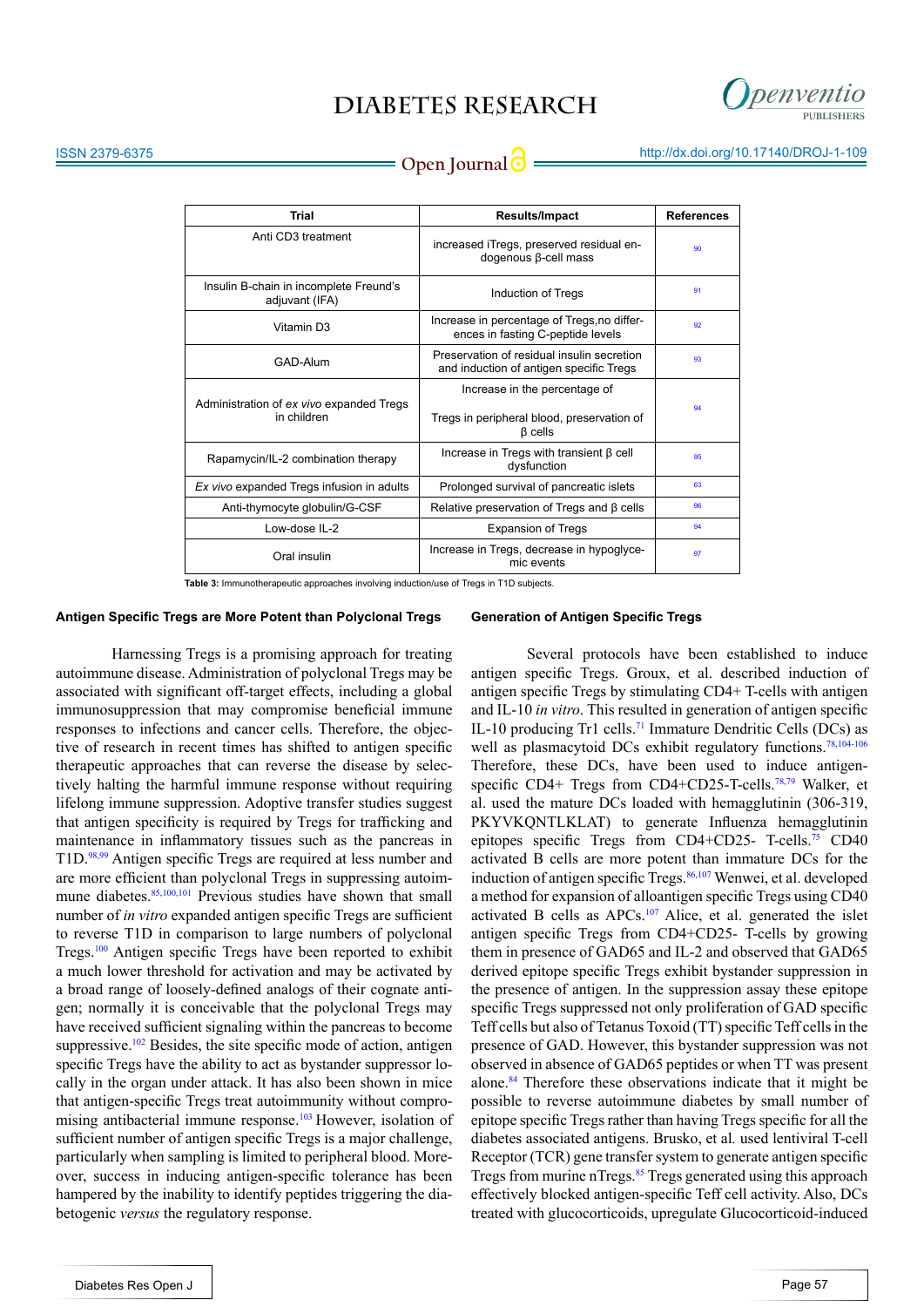

| Trial                                                    | <b>Results/Impact</b>                                                                         | <b>References</b> |
|----------------------------------------------------------|-----------------------------------------------------------------------------------------------|-------------------|
| Anti CD3 treatment                                       | increased iTregs, preserved residual en-<br>dogenous β-cell mass                              | 90                |
| Insulin B-chain in incomplete Freund's<br>adjuvant (IFA) | Induction of Tregs                                                                            | 91                |
| Vitamin D3                                               | Increase in percentage of Tregs, no differ-<br>ences in fasting C-peptide levels              | 92                |
| GAD-Alum                                                 | Preservation of residual insulin secretion<br>and induction of antigen specific Tregs         | 93                |
| Administration of ex vivo expanded Tregs<br>in children  | Increase in the percentage of<br>Tregs in peripheral blood, preservation of<br><b>B</b> cells | 94                |
| Rapamycin/IL-2 combination therapy                       | Increase in Tregs with transient $\beta$ cell<br>dysfunction                                  | 95                |
| Ex vivo expanded Tregs infusion in adults                | Prolonged survival of pancreatic islets                                                       | 63                |
| Anti-thymocyte globulin/G-CSF                            | Relative preservation of Tregs and $\beta$ cells                                              | 96                |
| Low-dose IL-2                                            | <b>Expansion of Tregs</b>                                                                     | 94                |
| Oral insulin                                             | Increase in Tregs, decrease in hypoglyce-<br>mic events                                       | 97                |

**Table 3:** Immunotherapeutic approaches involving induction/use of Tregs in T1D subjects.

#### **Antigen Specific Tregs are More Potent than Polyclonal Tregs**

Harnessing Tregs is a promising approach for treating autoimmune disease. Administration of polyclonal Tregs may be associated with significant off-target effects, including a global immunosuppression that may compromise beneficial immune responses to infections and cancer cells. Therefore, the objective of research in recent times has shifted to antigen specific therapeutic approaches that can reverse the disease by selectively halting the harmful immune response without requiring lifelong immune suppression. Adoptive transfer studies suggest that antigen specificity is required by Tregs for trafficking and maintenance in inflammatory tissues such as the pancreas in T1D.[98,99](#page-10-0) Antigen specific Tregs are required at less number and are more efficient than polyclonal Tregs in suppressing autoimmune diabetes.<sup>85,100,101</sup> Previous studies have shown that small number of *in vitro* expanded antigen specific Tregs are sufficient to reverse T1D in comparison to large numbers of polyclonal Tregs.[100](#page-10-1) Antigen specific Tregs have been reported to exhibit a much lower threshold for activation and may be activated by a broad range of loosely-defined analogs of their cognate antigen; normally it is conceivable that the polyclonal Tregs may have received sufficient signaling within the pancreas to become suppressive. $102$  Besides, the site specific mode of action, antigen specific Tregs have the ability to act as bystander suppressor locally in the organ under attack. It has also been shown in mice that antigen-specific Tregs treat autoimmunity without compro-mising antibacterial immune response.<sup>[103](#page-10-3)</sup> However, isolation of sufficient number of antigen specific Tregs is a major challenge, particularly when sampling is limited to peripheral blood. Moreover, success in inducing antigen-specific tolerance has been hampered by the inability to identify peptides triggering the diabetogenic *versus* the regulatory response.

#### **Generation of Antigen Specific Tregs**

Several protocols have been established to induce antigen specific Tregs. Groux, et al. described induction of antigen specific Tregs by stimulating CD4+ T-cells with antigen and IL-10 *in vitro*. This resulted in generation of antigen specific IL-10 producing Tr1 cells.<sup>71</sup> Immature Dendritic Cells (DCs) as well as plasmacytoid DCs exhibit regulatory functions.<sup>[78](#page-9-2),[104-106](#page-10-4)</sup> Therefore, these DCs, have been used to induce antigenspecific CD4+ Tregs from CD4+CD25-T-cells.<sup>78,79</sup> Walker, et al. used the mature DCs loaded with hemagglutinin (306-319, PKYVKQNTLKLAT) to generate Influenza hemagglutinin epitopes specific Tregs from CD4+CD25- T-cells.<sup>75</sup> CD40 activated B cells are more potent than immature DCs for the induction of antigen specific Tregs.<sup>[86](#page-9-9),[107](#page-10-5)</sup> Wenwei, et al. developed a method for expansion of alloantigen specific Tregs using CD40 activated B cells as APCs.[107](#page-10-5) Alice, et al. generated the islet antigen specific Tregs from CD4+CD25- T-cells by growing them in presence of GAD65 and IL-2 and observed that GAD65 derived epitope specific Tregs exhibit bystander suppression in the presence of antigen. In the suppression assay these epitope specific Tregs suppressed not only proliferation of GAD specific Teff cells but also of Tetanus Toxoid (TT) specific Teff cells in the presence of GAD. However, this bystander suppression was not observed in absence of GAD65 peptides or when TT was present alone.<sup>84</sup> Therefore these observations indicate that it might be possible to reverse autoimmune diabetes by small number of epitope specific Tregs rather than having Tregs specific for all the diabetes associated antigens. Brusko, et al*.* used lentiviral T-cell Receptor (TCR) gene transfer system to generate antigen specific Tregs from murine nTregs.<sup>85</sup> Tregs generated using this approach effectively blocked antigen-specific Teff cell activity. Also, DCs treated with glucocorticoids, upregulate Glucocorticoid-induced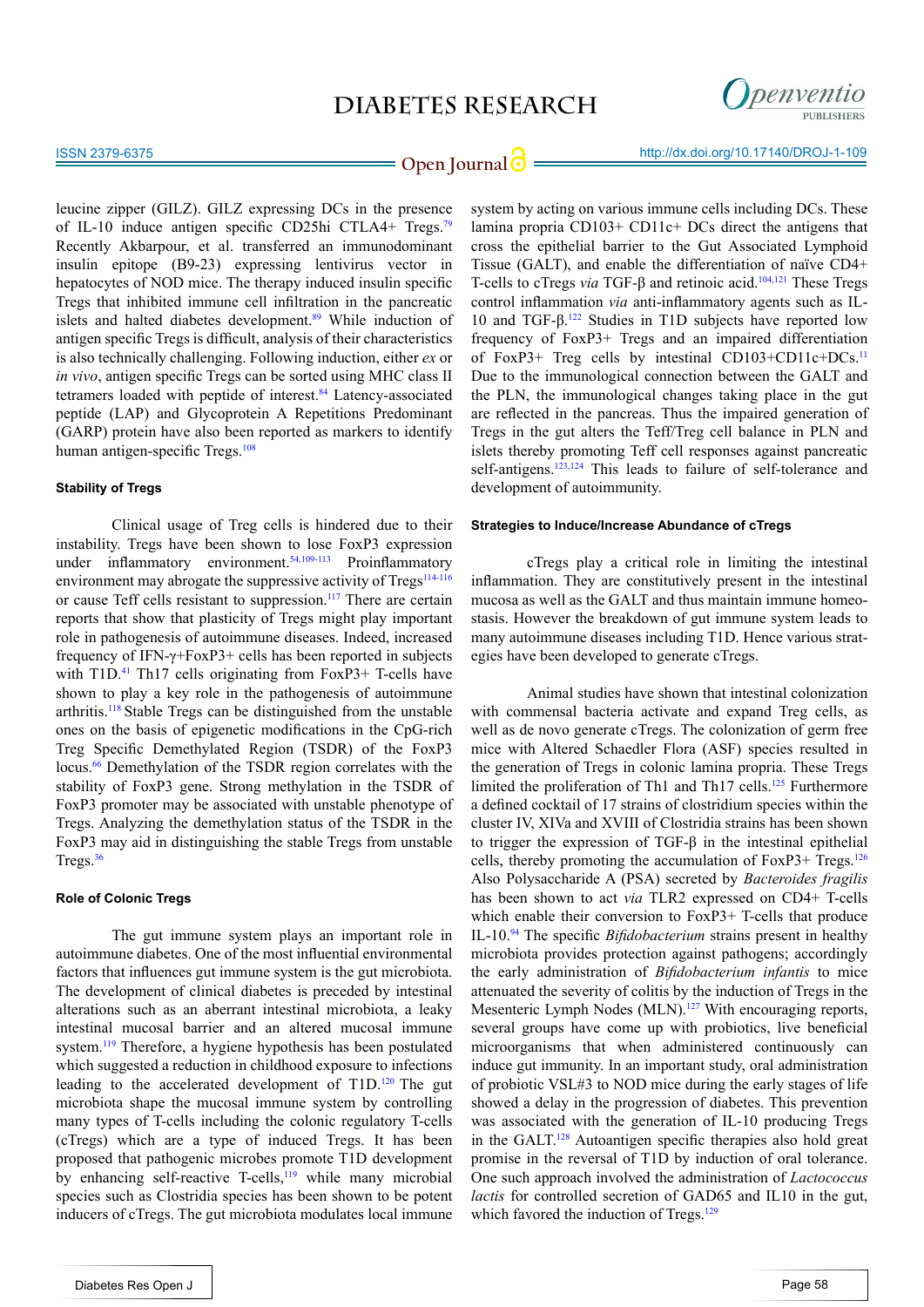

**Open Journal | implicit in the intervention of the Uppen Journal | implicit in the intervention of the implicit in the Open Journal of**  $\theta$ 

leucine zipper (GILZ). GILZ expressing DCs in the presence of IL-10 induce antigen specific CD25hi CTLA4+ Tregs.[79](#page-9-18) Recently Akbarpour, et al. transferred an immunodominant insulin epitope (B9-23) expressing lentivirus vector in hepatocytes of NOD mice. The therapy induced insulin specific Tregs that inhibited immune cell infiltration in the pancreatic islets and halted diabetes development.<sup>89</sup> While induction of antigen specific Tregs is difficult, analysis of their characteristics is also technically challenging. Following induction, either *ex* or *in vivo*, antigen specific Tregs can be sorted using MHC class II tetramers loaded with peptide of interest.<sup>[84](#page-9-7)</sup> Latency-associated peptide (LAP) and Glycoprotein A Repetitions Predominant (GARP) protein have also been reported as markers to identify human antigen-specific Tregs.<sup>[108](#page-10-8)</sup>

### **Stability of Tregs**

Clinical usage of Treg cells is hindered due to their instability. Tregs have been shown to lose FoxP3 expression under inflammatory environment.<sup>[54,](#page-8-0)[109-113](#page-10-9)</sup> Proinflammatory environment may abrogate the suppressive activity of Tregs<sup>[114-116](#page-10-10)</sup> or cause Teff cells resistant to suppression.<sup>117</sup> There are certain reports that show that plasticity of Tregs might play important role in pathogenesis of autoimmune diseases. Indeed, increased frequency of IFN-γ+FoxP3+ cells has been reported in subjects with  $T1D<sup>41</sup>$  Th17 cells originating from FoxP3+ T-cells have shown to play a key role in the pathogenesis of autoimmune arthritis.118 Stable Tregs can be distinguished from the unstable ones on the basis of epigenetic modifications in the CpG-rich Treg Specific Demethylated Region (TSDR) of the FoxP3 locus.<sup>[66](#page-8-5)</sup> Demethylation of the TSDR region correlates with the stability of FoxP3 gene. Strong methylation in the TSDR of FoxP3 promoter may be associated with unstable phenotype of Tregs. Analyzing the demethylation status of the TSDR in the FoxP3 may aid in distinguishing the stable Tregs from unstable Tregs.[36](#page-7-7)

### **Role of Colonic Tregs**

The gut immune system plays an important role in autoimmune diabetes. One of the most influential environmental factors that influences gut immune system is the gut microbiota. The development of clinical diabetes is preceded by intestinal alterations such as an aberrant intestinal microbiota, a leaky intestinal mucosal barrier and an altered mucosal immune system[.119](#page-11-1) Therefore, a hygiene hypothesis has been postulated which suggested a reduction in childhood exposure to infections leading to the accelerated development of T1D.120 The gut microbiota shape the mucosal immune system by controlling many types of T-cells including the colonic regulatory T-cells (cTregs) which are a type of induced Tregs. It has been proposed that pathogenic microbes promote T1D development by enhancing self-reactive T-cells,<sup>119</sup> while many microbial species such as Clostridia species has been shown to be potent inducers of cTregs. The gut microbiota modulates local immune

system by acting on various immune cells including DCs. These lamina propria CD103+ CD11c+ DCs direct the antigens that cross the epithelial barrier to the Gut Associated Lymphoid Tissue (GALT), and enable the differentiation of naïve CD4+ T-cells to cTregs *via* TGF-β and retinoic acid.<sup>[104](#page-10-4),121</sup> These Tregs control inflammation *via* anti-inflammatory agents such as IL-10 and TGF-β.[122](#page-11-2) Studies in T1D subjects have reported low frequency of FoxP3+ Tregs and an impaired differentiation of FoxP3+ Treg cells by intestinal CD103+CD11c+DCs.11 Due to the immunological connection between the GALT and the PLN, the immunological changes taking place in the gut are reflected in the pancreas. Thus the impaired generation of Tregs in the gut alters the Teff/Treg cell balance in PLN and islets thereby promoting Teff cell responses against pancreatic self-antigens.<sup>123,124</sup> This leads to failure of self-tolerance and development of autoimmunity.

#### **Strategies to Induce/Increase Abundance of cTregs**

cTregs play a critical role in limiting the intestinal inflammation. They are constitutively present in the intestinal mucosa as well as the GALT and thus maintain immune homeostasis. However the breakdown of gut immune system leads to many autoimmune diseases including T1D. Hence various strategies have been developed to generate cTregs.

Animal studies have shown that intestinal colonization with commensal bacteria activate and expand Treg cells, as well as de novo generate cTregs. The colonization of germ free mice with Altered Schaedler Flora (ASF) species resulted in the generation of Tregs in colonic lamina propria. These Tregs limited the proliferation of Th1 and Th17 cells.<sup>125</sup> Furthermore a defined cocktail of 17 strains of clostridium species within the cluster IV, XIVa and XVIII of Clostridia strains has been shown to trigger the expression of TGF-β in the intestinal epithelial cells, thereby promoting the accumulation of  $FoxP3+Tregs.<sup>126</sup>$  $FoxP3+Tregs.<sup>126</sup>$  $FoxP3+Tregs.<sup>126</sup>$ Also Polysaccharide A (PSA) secreted by *Bacteroides fragilis*  has been shown to act *via* TLR2 expressed on CD4+ T-cells which enable their conversion to FoxP3+ T-cells that produce IL-10.[94](#page-9-17) The specific *Bifidobacterium* strains present in healthy microbiota provides protection against pathogens; accordingly the early administration of *Bifidobacterium infantis* to mice attenuated the severity of colitis by the induction of Tregs in the Mesenteric Lymph Nodes (MLN).<sup>127</sup> With encouraging reports, several groups have come up with probiotics, live beneficial microorganisms that when administered continuously can induce gut immunity. In an important study, oral administration of probiotic VSL#3 to NOD mice during the early stages of life showed a delay in the progression of diabetes. This prevention was associated with the generation of IL-10 producing Tregs in the GALT.<sup>[128](#page-11-7)</sup> Autoantigen specific therapies also hold great promise in the reversal of T1D by induction of oral tolerance. One such approach involved the administration of *Lactococcus lactis* for controlled secretion of GAD65 and IL10 in the gut, which favored the induction of Tregs.<sup>129</sup>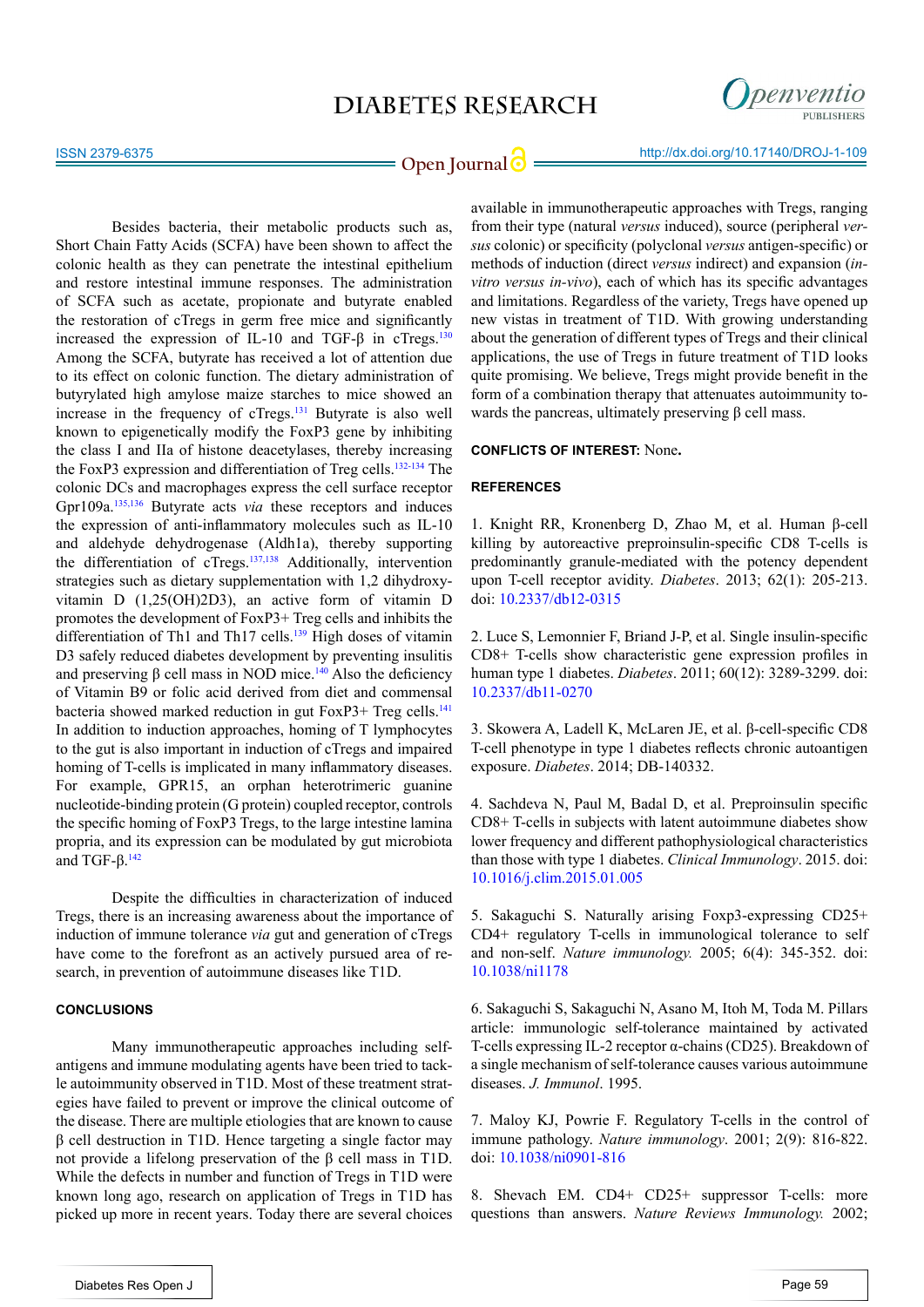

**Open Journal | implicit in the September 2016** http://dx.doi.org/10.17140/DROJ-1-109

Besides bacteria, their metabolic products such as, Short Chain Fatty Acids (SCFA) have been shown to affect the colonic health as they can penetrate the intestinal epithelium and restore intestinal immune responses. The administration of SCFA such as acetate, propionate and butyrate enabled the restoration of cTregs in germ free mice and significantly increased the expression of IL-10 and TGF- $\beta$  in cTregs.<sup>[130](#page-11-9)</sup> Among the SCFA, butyrate has received a lot of attention due to its effect on colonic function. The dietary administration of butyrylated high amylose maize starches to mice showed an increase in the frequency of cTregs.<sup>131</sup> Butyrate is also well known to epigenetically modify the FoxP3 gene by inhibiting the class I and IIa of histone deacetylases, thereby increasing the FoxP3 expression and differentiation of Treg cells. $132-134$  The colonic DCs and macrophages express the cell surface receptor Gpr109a[.135,136](#page-11-11) Butyrate acts *via* these receptors and induces the expression of anti-inflammatory molecules such as IL-10 and aldehyde dehydrogenase (Aldh1a), thereby supporting the differentiation of cTregs.<sup>137,138</sup> Additionally, intervention strategies such as dietary supplementation with 1,2 dihydroxyvitamin D (1,25(OH)2D3), an active form of vitamin D promotes the development of FoxP3+ Treg cells and inhibits the differentiation of Th1 and Th17 cells.<sup>139</sup> High doses of vitamin D3 safely reduced diabetes development by preventing insulitis and preserving  $\beta$  cell mass in NOD mice.<sup>[140](#page-12-1)</sup> Also the deficiency of Vitamin B9 or folic acid derived from diet and commensal bacteria showed marked reduction in gut FoxP3+ Treg cells.<sup>141</sup> In addition to induction approaches, homing of T lymphocytes to the gut is also important in induction of cTregs and impaired homing of T-cells is implicated in many inflammatory diseases. For example, GPR15, an orphan heterotrimeric guanine nucleotide-binding protein (G protein) coupled receptor, controls the specific homing of FoxP3 Tregs, to the large intestine lamina propria, and its expression can be modulated by gut microbiota and TGF- $β$ <sup>[142](#page-12-2)</sup>

Despite the difficulties in characterization of induced Tregs, there is an increasing awareness about the importance of induction of immune tolerance *via* gut and generation of cTregs have come to the forefront as an actively pursued area of research, in prevention of autoimmune diseases like T1D.

#### **CONCLUSIONS**

Many immunotherapeutic approaches including selfantigens and immune modulating agents have been tried to tackle autoimmunity observed in T1D. Most of these treatment strategies have failed to prevent or improve the clinical outcome of the disease. There are multiple etiologies that are known to cause β cell destruction in T1D. Hence targeting a single factor may not provide a lifelong preservation of the β cell mass in T1D. While the defects in number and function of Tregs in T1D were known long ago, research on application of Tregs in T1D has picked up more in recent years. Today there are several choices

available in immunotherapeutic approaches with Tregs, ranging from their type (natural *versus* induced), source (peripheral *versus* colonic) or specificity (polyclonal *versus* antigen-specific) or methods of induction (direct *versus* indirect) and expansion (*invitro versus in-vivo*), each of which has its specific advantages and limitations. Regardless of the variety, Tregs have opened up new vistas in treatment of T1D. With growing understanding about the generation of different types of Tregs and their clinical applications, the use of Tregs in future treatment of T1D looks quite promising. We believe, Tregs might provide benefit in the form of a combination therapy that attenuates autoimmunity towards the pancreas, ultimately preserving  $\beta$  cell mass.

### **CONFLICTS OF INTEREST:** None**.**

#### **REFERENCES**

<span id="page-5-0"></span>1. Knight RR, Kronenberg D, Zhao M, et al. Human β-cell killing by autoreactive preproinsulin-specific CD8 T-cells is predominantly granule-mediated with the potency dependent upon T-cell receptor avidity. *Diabetes*. 2013; 62(1): 205-213. doi: [10.2337/db12-0315](http://www.ncbi.nlm.nih.gov/pubmed/22936177)

<span id="page-5-1"></span>2. Luce S, Lemonnier F, Briand J-P, et al. Single insulin-specific CD8+ T-cells show characteristic gene expression profiles in human type 1 diabetes. *Diabetes*. 2011; 60(12): 3289-3299. doi: [10.2337/db11-0270](http://www.ncbi.nlm.nih.gov/pubmed/21998398)

3. Skowera A, Ladell K, McLaren JE, et al. β-cell-specific CD8 T-cell phenotype in type 1 diabetes reflects chronic autoantigen exposure. *Diabetes*. 2014; DB-140332.

4. Sachdeva N, Paul M, Badal D, et al. Preproinsulin specific CD8+ T-cells in subjects with latent autoimmune diabetes show lower frequency and different pathophysiological characteristics than those with type 1 diabetes. *Clinical Immunology*. 2015. doi: [10.1016/j.clim.2015.01.005](http://www.sciencedirect.com/science/article/pii/S1521661615000078)

<span id="page-5-2"></span>5. Sakaguchi S. Naturally arising Foxp3-expressing CD25+ CD4+ regulatory T-cells in immunological tolerance to self and non-self. *Nature immunology.* 2005; 6(4): 345-352. doi: [10.1038/ni1178](http://www.nature.com/ni/journal/v6/n4/full/ni1178.html)

<span id="page-5-3"></span>6. Sakaguchi S, Sakaguchi N, Asano M, Itoh M, Toda M. Pillars article: immunologic self-tolerance maintained by activated T-cells expressing IL-2 receptor α-chains (CD25). Breakdown of a single mechanism of self-tolerance causes various autoimmune diseases. *J. Immunol*. 1995.

<span id="page-5-4"></span>7. Maloy KJ, Powrie F. Regulatory T-cells in the control of immune pathology. *Nature immunology*. 2001; 2(9): 816-822. doi: [10.1038/ni0901-816](http://www.nature.com/ni/journal/v2/n9/full/ni0901-816.html)

8. Shevach EM. CD4+ CD25+ suppressor T-cells: more questions than answers. *Nature Reviews Immunology.* 2002;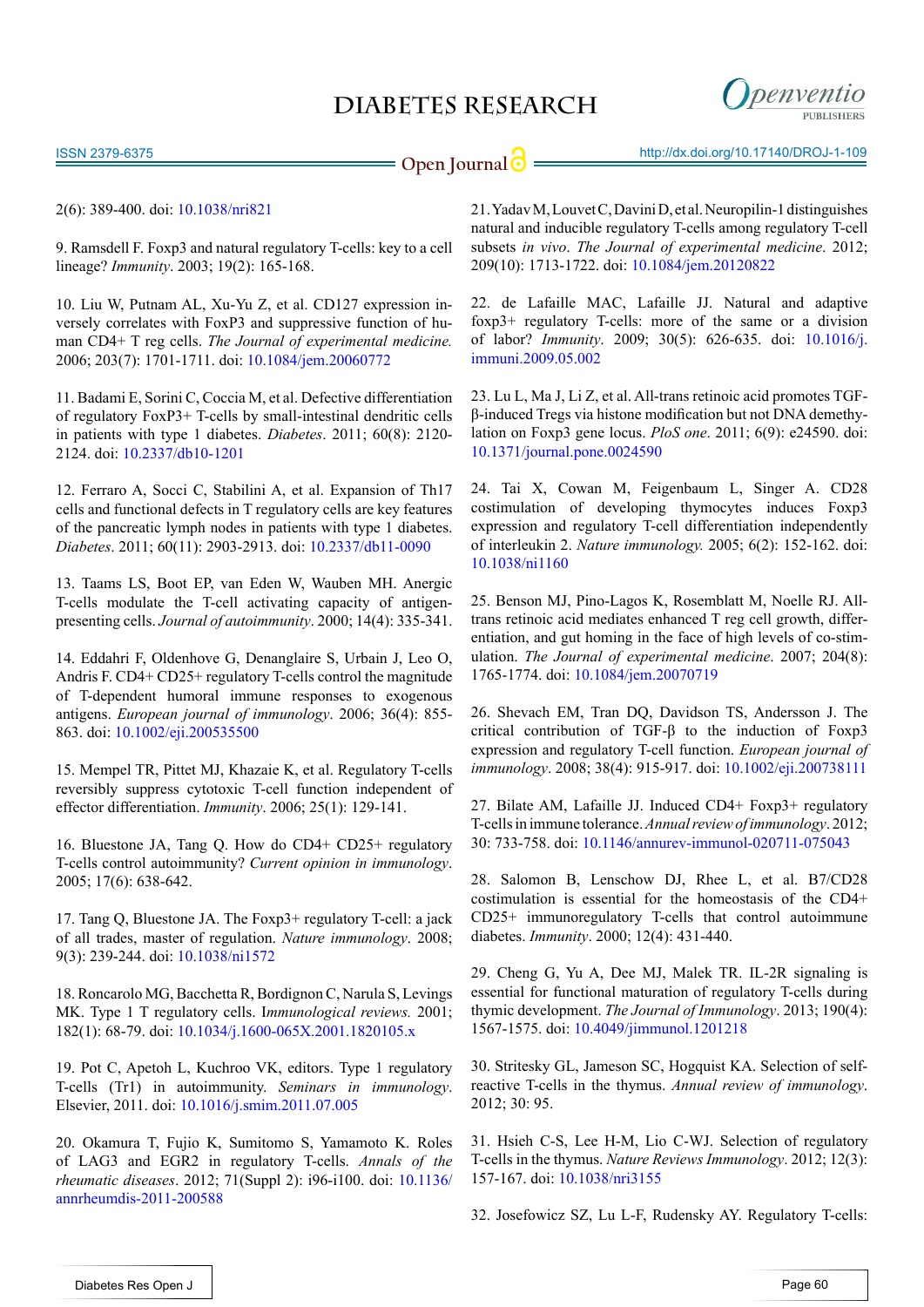ISSN 2379-6375

**Open Journal | implicit in the intervention of the Uppen Journal 10 minutes in the intervention of the intervention of the Uppen Journal 10 minutes in the intervention of the Uppen Journal 10 minutes in the intervention o** 

penventic

9. Ramsdell F. Foxp3 and natural regulatory T-cells: key to a cell lineage? *Immunity*. 2003; 19(2): 165-168.

<span id="page-6-0"></span>10. Liu W, Putnam AL, Xu-Yu Z, et al. CD127 expression inversely correlates with FoxP3 and suppressive function of human CD4+ T reg cells. *The Journal of experimental medicine.* 2006; 203(7): 1701-1711. doi: [10.1084/jem.20060772](http://jem.rupress.org/content/203/7/1701.long)

11. Badami E, Sorini C, Coccia M, et al. Defective differentiation of regulatory FoxP3+ T-cells by small-intestinal dendritic cells in patients with type 1 diabetes. *Diabetes*. 2011; 60(8): 2120- 2124. doi: [10.2337/db10-1201](http://www.ncbi.nlm.nih.gov/pubmed/21646390)

<span id="page-6-7"></span>12. Ferraro A, Socci C, Stabilini A, et al. Expansion of Th17 cells and functional defects in T regulatory cells are key features of the pancreatic lymph nodes in patients with type 1 diabetes. *Diabetes*. 2011; 60(11): 2903-2913. doi: [10.2337/db11-0090](http://www.ncbi.nlm.nih.gov/pubmed/21896932) 

<span id="page-6-1"></span>13. Taams LS, Boot EP, van Eden W, Wauben MH. Anergic T-cells modulate the T-cell activating capacity of antigenpresenting cells. *Journal of autoimmunity*. 2000; 14(4): 335-341.

14. Eddahri F, Oldenhove G, Denanglaire S, Urbain J, Leo O, Andris F. CD4+ CD25+ regulatory T-cells control the magnitude of T-dependent humoral immune responses to exogenous antigens. *European journal of immunology*. 2006; 36(4): 855- 863. doi: [10.1002/eji.200535500](http://onlinelibrary.wiley.com/doi/10.1002/eji.200535500/full)

15. Mempel TR, Pittet MJ, Khazaie K, et al. Regulatory T-cells reversibly suppress cytotoxic T-cell function independent of effector differentiation. *Immunity*. 2006; 25(1): 129-141.

<span id="page-6-2"></span>16. Bluestone JA, Tang Q. How do CD4+ CD25+ regulatory T-cells control autoimmunity? *Current opinion in immunology*. 2005; 17(6): 638-642.

17. Tang Q, Bluestone JA. The Foxp3+ regulatory T-cell: a jack of all trades, master of regulation. *Nature immunology*. 2008; 9(3): 239-244. doi: [10.1038/ni1572](http://www.ncbi.nlm.nih.gov/pubmed/18285775)

<span id="page-6-3"></span>18. Roncarolo MG, Bacchetta R, Bordignon C, Narula S, Levings MK. Type 1 T regulatory cells. I*mmunological reviews.* 2001; 182(1): 68-79. doi: [10.1034/j.1600-065X.2001.1820105.x](http://onlinelibrary.wiley.com/doi/10.1034/j.1600-065X.2001.1820105.x/abstract)

19. Pot C, Apetoh L, Kuchroo VK, editors. Type 1 regulatory T-cells (Tr1) in autoimmunity. *Seminars in immunology*. Elsevier, 2011. doi: [10.1016/j.smim.2011.07.005](http://www.ncbi.nlm.nih.gov/pubmed/21840222)

<span id="page-6-4"></span>20. Okamura T, Fujio K, Sumitomo S, Yamamoto K. Roles of LAG3 and EGR2 in regulatory T-cells. *Annals of the rheumatic diseases*. 2012; 71(Suppl 2): i96-i100. doi: [10.1136/](http://www.ncbi.nlm.nih.gov/pubmed/22460149) [annrheumdis-2011-200588](http://www.ncbi.nlm.nih.gov/pubmed/22460149)

<span id="page-6-5"></span>21. Yadav M, Louvet C, Davini D, et al. Neuropilin-1 distinguishes natural and inducible regulatory T-cells among regulatory T-cell subsets *in vivo*. *The Journal of experimental medicine*. 2012; 209(10): 1713-1722. doi: [10.1084/jem.20120822](http://www.ncbi.nlm.nih.gov/pmc/articles/PMC3457729/) 

22. de Lafaille MAC, Lafaille JJ. Natural and adaptive foxp3+ regulatory T-cells: more of the same or a division of labor? *Immunity*. 2009; 30(5): 626-635. doi: [10.1016/j.](http://www.ncbi.nlm.nih.gov/pubmed/19464985) [immuni.2009.05.002](http://www.ncbi.nlm.nih.gov/pubmed/19464985)

<span id="page-6-8"></span>23. Lu L, Ma J, Li Z, et al. All-trans retinoic acid promotes TGFβ-induced Tregs via histone modification but not DNA demethylation on Foxp3 gene locus. *PloS one*. 2011; 6(9): e24590. doi: [10.1371/journal.pone.0024590](http://www.ncbi.nlm.nih.gov/pmc/articles/PMC3172235/)

<span id="page-6-9"></span>24. Tai X, Cowan M, Feigenbaum L, Singer A. CD28 costimulation of developing thymocytes induces Foxp3 expression and regulatory T-cell differentiation independently of interleukin 2. *Nature immunology.* 2005; 6(2): 152-162. doi: [10.1038/ni1160](http://www.nature.com/ni/journal/v6/n2/full/ni1160.html)

<span id="page-6-10"></span>25. Benson MJ, Pino-Lagos K, Rosemblatt M, Noelle RJ. Alltrans retinoic acid mediates enhanced T reg cell growth, differentiation, and gut homing in the face of high levels of co-stimulation. *The Journal of experimental medicine*. 2007; 204(8): 1765-1774. doi: [10.1084/jem.20070719](http://jem.rupress.org/content/204/8/1765.long)

<span id="page-6-11"></span>26. Shevach EM, Tran DQ, Davidson TS, Andersson J. The critical contribution of TGF-β to the induction of Foxp3 expression and regulatory T-cell function. *European journal of immunology*. 2008; 38(4): 915-917. doi: [10.1002/eji.200738111](http://www.ncbi.nlm.nih.gov/pubmed/18395859)

<span id="page-6-12"></span>27. Bilate AM, Lafaille JJ. Induced CD4+ Foxp3+ regulatory T-cells in immune tolerance. *Annual review of immunology*. 2012; 30: 733-758. doi: [10.1146/annurev-immunol-020711-075043](http://www.ncbi.nlm.nih.gov/pubmed/22224762)

<span id="page-6-13"></span>28. Salomon B, Lenschow DJ, Rhee L, et al. B7/CD28 costimulation is essential for the homeostasis of the CD4+ CD25+ immunoregulatory T-cells that control autoimmune diabetes. *Immunity*. 2000; 12(4): 431-440.

29. Cheng G, Yu A, Dee MJ, Malek TR. IL-2R signaling is essential for functional maturation of regulatory T-cells during thymic development. *The Journal of Immunology*. 2013; 190(4): 1567-1575. doi: [10.4049/jimmunol.1201218](http://www.ncbi.nlm.nih.gov/pubmed/23315074)

<span id="page-6-6"></span>30. Stritesky GL, Jameson SC, Hogquist KA. Selection of selfreactive T-cells in the thymus. *Annual review of immunology*. 2012; 30: 95.

<span id="page-6-14"></span>31. Hsieh C-S, Lee H-M, Lio C-WJ. Selection of regulatory T-cells in the thymus. *Nature Reviews Immunology*. 2012; 12(3): 157-167. doi: [10.1038/nri3155](http://www.nature.com/nri/journal/v12/n3/full/nri3155.html)

32. Josefowicz SZ, Lu L-F, Rudensky AY. Regulatory T-cells: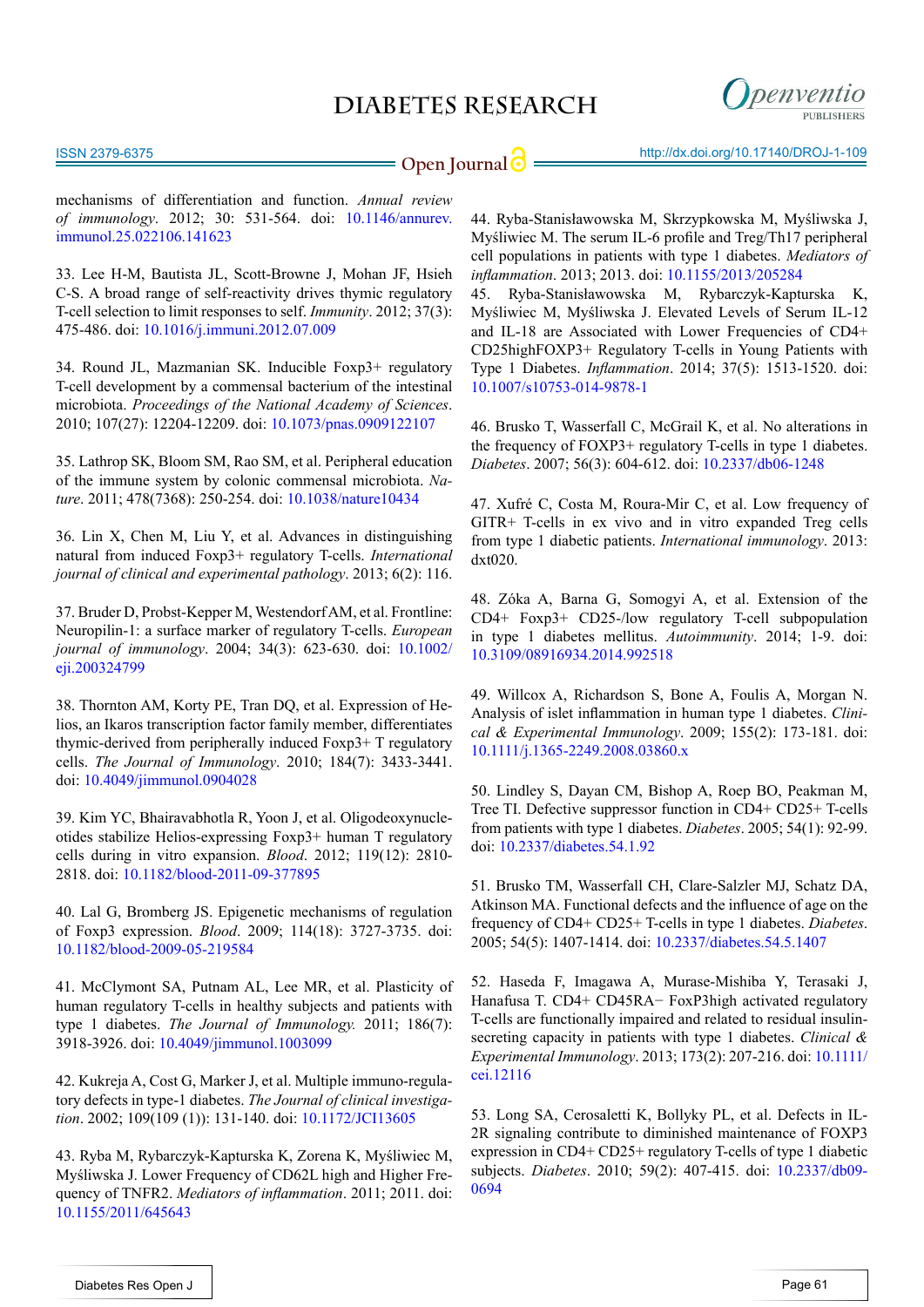

ISSN 2379-6375

mechanisms of differentiation and function. *Annual review of immunology*. 2012; 30: 531-564. doi: [10.1146/annurev.](http://www.ncbi.nlm.nih.gov/pubmed/22224781) [immunol.25.022106.141623](http://www.ncbi.nlm.nih.gov/pubmed/22224781)

33. Lee H-M, Bautista JL, Scott-Browne J, Mohan JF, Hsieh C-S. A broad range of self-reactivity drives thymic regulatory T-cell selection to limit responses to self. *Immunity*. 2012; 37(3): 475-486. doi: [10.1016/j.immuni.2012.07.009](http://www.ncbi.nlm.nih.gov/pubmed/22921379)

<span id="page-7-6"></span>34. Round JL, Mazmanian SK. Inducible Foxp3+ regulatory T-cell development by a commensal bacterium of the intestinal microbiota. *Proceedings of the National Academy of Sciences*. 2010; 107(27): 12204-12209. doi: [10.1073/pnas.0909122107](http://www.ncbi.nlm.nih.gov/pubmed/20566854)

35. Lathrop SK, Bloom SM, Rao SM, et al. Peripheral education of the immune system by colonic commensal microbiota. *Nature*. 2011; 478(7368): 250-254. doi: [10.1038/nature10434](http://www.nature.com/nature/journal/v478/n7368/full/nature10434.html)

<span id="page-7-7"></span>36. Lin X, Chen M, Liu Y, et al. Advances in distinguishing natural from induced Foxp3+ regulatory T-cells. *International journal of clinical and experimental pathology*. 2013; 6(2): 116.

<span id="page-7-8"></span>37. Bruder D, Probst-Kepper M, Westendorf AM, et al. Frontline: Neuropilin-1: a surface marker of regulatory T-cells. *European journal of immunology*. 2004; 34(3): 623-630. doi: [10.1002/](http://onlinelibrary.wiley.com/doi/10.1002/eji.200324799/full) [eji.200324799](http://onlinelibrary.wiley.com/doi/10.1002/eji.200324799/full)

<span id="page-7-9"></span>38. Thornton AM, Korty PE, Tran DQ, et al. Expression of Helios, an Ikaros transcription factor family member, differentiates thymic-derived from peripherally induced Foxp3+ T regulatory cells. *The Journal of Immunology*. 2010; 184(7): 3433-3441. doi: [10.4049/jimmunol.0904028](http://www.ncbi.nlm.nih.gov/pubmed/20181882)

39. Kim YC, Bhairavabhotla R, Yoon J, et al. Oligodeoxynucleotides stabilize Helios-expressing Foxp3+ human T regulatory cells during in vitro expansion. *Blood*. 2012; 119(12): 2810- 2818. doi: [10.1182/blood-2011-09-377895](http://www.ncbi.nlm.nih.gov/pubmed/22294730)

<span id="page-7-10"></span>40. Lal G, Bromberg JS. Epigenetic mechanisms of regulation of Foxp3 expression. *Blood*. 2009; 114(18): 3727-3735. doi: [10.1182/blood-2009-05-219584](http://www.ncbi.nlm.nih.gov/pubmed/19641188)

<span id="page-7-11"></span>41. McClymont SA, Putnam AL, Lee MR, et al. Plasticity of human regulatory T-cells in healthy subjects and patients with type 1 diabetes. *The Journal of Immunology.* 2011; 186(7): 3918-3926. doi: [10.4049/jimmunol.1003099](http://www.ncbi.nlm.nih.gov/pubmed/21368230)

<span id="page-7-0"></span>42. Kukreja A, Cost G, Marker J, et al. Multiple immuno-regulatory defects in type-1 diabetes. *The Journal of clinical investigation*. 2002; 109(109 (1)): 131-140. doi: [10.1172/JCI13605](http://www.ncbi.nlm.nih.gov/pmc/articles/PMC150819/)

43. Ryba M, Rybarczyk-Kapturska K, Zorena K, Myśliwiec M, Myśliwska J. Lower Frequency of CD62L high and Higher Frequency of TNFR2. *Mediators of inflammation*. 2011; 2011. doi: [10.1155/2011/645643](http://www.hindawi.com/journals/mi/2011/645643/)

44. Ryba-Stanisławowska M, Skrzypkowska M, Myśliwska J, Myśliwiec M. The serum IL-6 profile and Treg/Th17 peripheral cell populations in patients with type 1 diabetes. *Mediators of inflammation*. 2013; 2013. doi: [10.1155/2013/205284](http://www.hindawi.com/journals/mi/2013/205284/)

45. Ryba-Stanisławowska M, Rybarczyk-Kapturska K, Myśliwiec M, Myśliwska J. Elevated Levels of Serum IL-12 and IL-18 are Associated with Lower Frequencies of CD4+ CD25highFOXP3+ Regulatory T-cells in Young Patients with Type 1 Diabetes. *Inflammation*. 2014; 37(5): 1513-1520. doi: [10.1007/s10753-014-9878-1](http://www.ncbi.nlm.nih.gov/pmc/articles/PMC4174326/)

46. Brusko T, Wasserfall C, McGrail K, et al. No alterations in the frequency of FOXP3+ regulatory T-cells in type 1 diabetes. *Diabetes*. 2007; 56(3): 604-612. doi: [10.2337/db06-1248](http://diabetes.diabetesjournals.org/content/56/3/604.long)

<span id="page-7-1"></span>47. Xufré C, Costa M, Roura-Mir C, et al. Low frequency of GITR+ T-cells in ex vivo and in vitro expanded Treg cells from type 1 diabetic patients. *International immunology*. 2013: dxt020.

<span id="page-7-2"></span>48. Zóka A, Barna G, Somogyi A, et al. Extension of the CD4+ Foxp3+ CD25-/low regulatory T-cell subpopulation in type 1 diabetes mellitus. *Autoimmunity*. 2014; 1-9. doi: [10.3109/08916934.2014.992518](http://informahealthcare.com/doi/abs/10.3109/08916934.2014.992518)

<span id="page-7-3"></span>49. Willcox A, Richardson S, Bone A, Foulis A, Morgan N. Analysis of islet inflammation in human type 1 diabetes. *Clinical & Experimental Immunology*. 2009; 155(2): 173-181. doi: [10.1111/j.1365-2249.2008.03860.x](http://www.ncbi.nlm.nih.gov/pubmed/19128359)

<span id="page-7-4"></span>50. Lindley S, Dayan CM, Bishop A, Roep BO, Peakman M, Tree TI. Defective suppressor function in CD4+ CD25+ T-cells from patients with type 1 diabetes. *Diabetes*. 2005; 54(1): 92-99. doi: [10.2337/diabetes.54.1.92](http://diabetes.diabetesjournals.org/content/54/1/92.long)

51. Brusko TM, Wasserfall CH, Clare-Salzler MJ, Schatz DA, Atkinson MA. Functional defects and the influence of age on the frequency of CD4+ CD25+ T-cells in type 1 diabetes. *Diabetes*. 2005; 54(5): 1407-1414. doi: [10.2337/diabetes.54.5.1407](http://diabetes.diabetesjournals.org/content/54/5/1407.long)

52. Haseda F, Imagawa A, Murase-Mishiba Y, Terasaki J, Hanafusa T. CD4+ CD45RA− FoxP3high activated regulatory T-cells are functionally impaired and related to residual insulinsecreting capacity in patients with type 1 diabetes. *Clinical & Experimental Immunology*. 2013; 173(2): 207-216. doi: [10.1111/](http://www.ncbi.nlm.nih.gov/pubmed/23607886) [cei.12116](http://www.ncbi.nlm.nih.gov/pubmed/23607886) 

<span id="page-7-5"></span>53. Long SA, Cerosaletti K, Bollyky PL, et al. Defects in IL-2R signaling contribute to diminished maintenance of FOXP3 expression in CD4+ CD25+ regulatory T-cells of type 1 diabetic subjects. *Diabetes*. 2010; 59(2): 407-415. doi: [10.2337/db09-](http://www.ncbi.nlm.nih.gov/pubmed/19875613) [0694](http://www.ncbi.nlm.nih.gov/pubmed/19875613)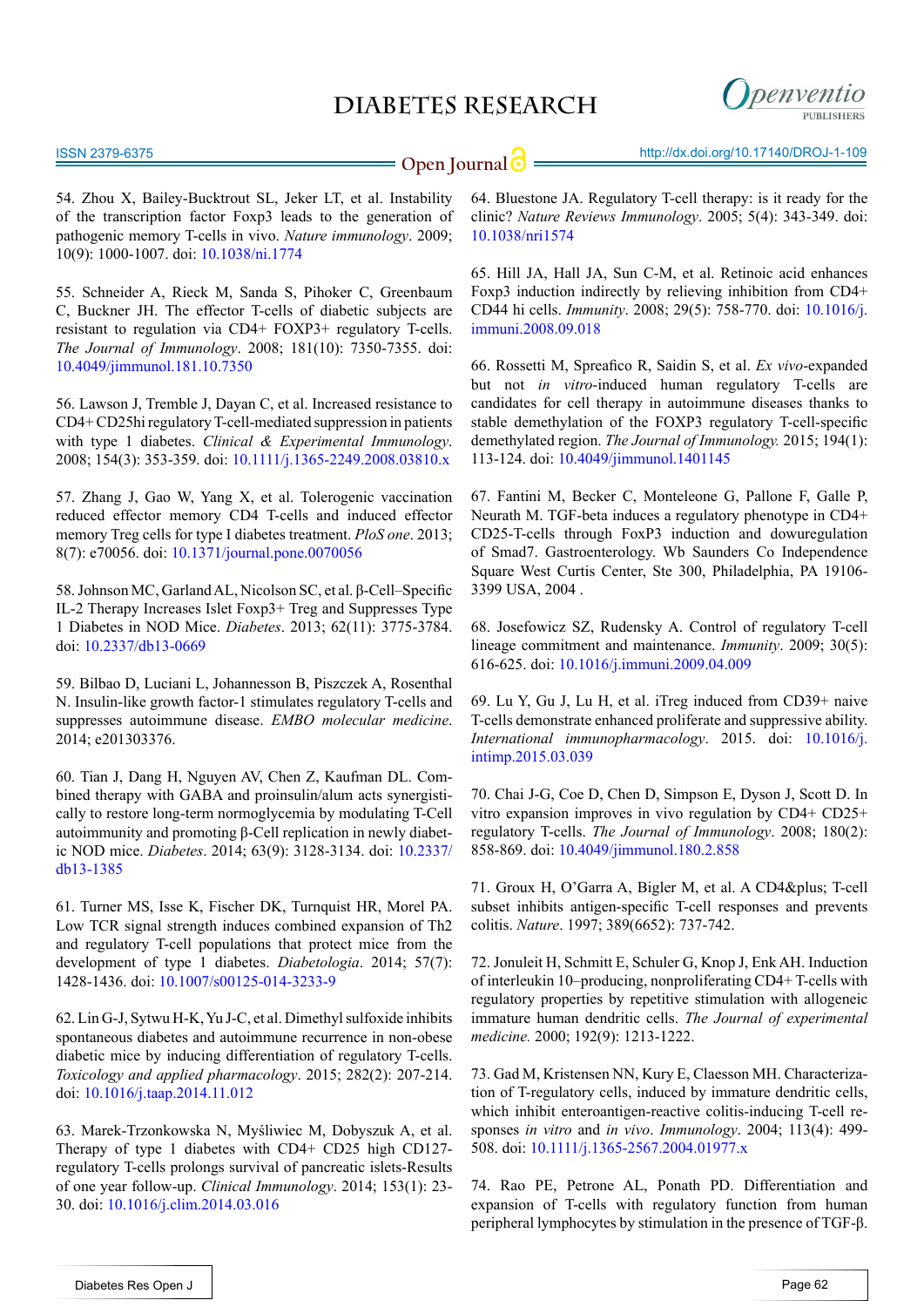

**Open Journal | implicit in the intervention of the Uppen Journal of the Uppen Journal of the Uppen Journal of the Uppen Journal of the Uppen Journal of the Uppen Journal of the Uppen Journal of the Uppen Journal of the Up** 

<span id="page-8-0"></span>54. Zhou X, Bailey-Bucktrout SL, Jeker LT, et al. Instability of the transcription factor Foxp3 leads to the generation of pathogenic memory T-cells in vivo. *Nature immunology*. 2009; 10(9): 1000-1007. doi: [10.1038/ni.1774](http://www.ncbi.nlm.nih.gov/pubmed/19633673)

<span id="page-8-1"></span>55. Schneider A, Rieck M, Sanda S, Pihoker C, Greenbaum C, Buckner JH. The effector T-cells of diabetic subjects are resistant to regulation via CD4+ FOXP3+ regulatory T-cells. *The Journal of Immunology*. 2008; 181(10): 7350-7355. doi: [10.4049/jimmunol.181.10.7350](http://www.jimmunol.org/content/181/10/7350.long)

56. Lawson J, Tremble J, Dayan C, et al. Increased resistance to CD4+ CD25hi regulatory T-cell-mediated suppression in patients with type 1 diabetes. *Clinical & Experimental Immunology*. 2008; 154(3): 353-359. doi: [10.1111/j.1365-2249.2008.03810.x](http://www.ncbi.nlm.nih.gov/pubmed/19037920)

<span id="page-8-2"></span>57. Zhang J, Gao W, Yang X, et al. Tolerogenic vaccination reduced effector memory CD4 T-cells and induced effector memory Treg cells for type I diabetes treatment. *PloS one*. 2013; 8(7): e70056. doi: [10.1371/journal.pone.0070056](http://www.ncbi.nlm.nih.gov/pubmed/23894591)

58. Johnson MC, Garland AL, Nicolson SC, et al. β-Cell–Specific IL-2 Therapy Increases Islet Foxp3+ Treg and Suppresses Type 1 Diabetes in NOD Mice. *Diabetes*. 2013; 62(11): 3775-3784. doi: [10.2337/db13-0669](http://www.ncbi.nlm.nih.gov/pubmed/23884888)

59. Bilbao D, Luciani L, Johannesson B, Piszczek A, Rosenthal N. Insulin-like growth factor-1 stimulates regulatory T-cells and suppresses autoimmune disease. *EMBO molecular medicine*. 2014; e201303376.

60. Tian J, Dang H, Nguyen AV, Chen Z, Kaufman DL. Combined therapy with GABA and proinsulin/alum acts synergistically to restore long-term normoglycemia by modulating T-Cell autoimmunity and promoting β-Cell replication in newly diabetic NOD mice. *Diabetes*. 2014; 63(9): 3128-3134. doi: [10.2337/](http://www.ncbi.nlm.nih.gov/pubmed/25146474) [db13-1385](http://www.ncbi.nlm.nih.gov/pubmed/25146474)

61. Turner MS, Isse K, Fischer DK, Turnquist HR, Morel PA. Low TCR signal strength induces combined expansion of Th2 and regulatory T-cell populations that protect mice from the development of type 1 diabetes. *Diabetologia*. 2014; 57(7): 1428-1436. doi: [10.1007/s00125-014-3233-9](http://www.ncbi.nlm.nih.gov/pubmed/24737163)

<span id="page-8-11"></span>62. Lin G-J, Sytwu H-K, Yu J-C, et al. Dimethyl sulfoxide inhibits spontaneous diabetes and autoimmune recurrence in non-obese diabetic mice by inducing differentiation of regulatory T-cells. *Toxicology and applied pharmacology*. 2015; 282(2): 207-214. doi: [10.1016/j.taap.2014.11.012](http://www.ncbi.nlm.nih.gov/pubmed/25481496)

<span id="page-8-3"></span>63. Marek-Trzonkowska N, Myśliwiec M, Dobyszuk A, et al. Therapy of type 1 diabetes with CD4+ CD25 high CD127 regulatory T-cells prolongs survival of pancreatic islets-Results of one year follow-up. *Clinical Immunology*. 2014; 153(1): 23- 30. doi: [10.1016/j.clim.2014.03.016](http://www.ncbi.nlm.nih.gov/pubmed/24704576)

<span id="page-8-4"></span>64. Bluestone JA. Regulatory T-cell therapy: is it ready for the clinic? *Nature Reviews Immunology*. 2005; 5(4): 343-349. doi: [10.1038/nri1574](http://www.nature.com/nri/journal/v5/n4/full/nri1574.html)

65. Hill JA, Hall JA, Sun C-M, et al. Retinoic acid enhances Foxp3 induction indirectly by relieving inhibition from CD4+ CD44 hi cells. *Immunity*. 2008; 29(5): 758-770. doi: [10.1016/j.](http://www.ncbi.nlm.nih.gov/pubmed/19006694) [immuni.2008.09.018](http://www.ncbi.nlm.nih.gov/pubmed/19006694)

<span id="page-8-5"></span>66. Rossetti M, Spreafico R, Saidin S, et al. *Ex vivo*-expanded but not *in vitro*-induced human regulatory T-cells are candidates for cell therapy in autoimmune diseases thanks to stable demethylation of the FOXP3 regulatory T-cell-specific demethylated region. *The Journal of Immunology.* 2015; 194(1): 113-124. doi: [10.4049/jimmunol.1401145](http://www.ncbi.nlm.nih.gov/pubmed/25452562)

<span id="page-8-6"></span>67. Fantini M, Becker C, Monteleone G, Pallone F, Galle P, Neurath M. TGF-beta induces a regulatory phenotype in CD4+ CD25-T-cells through FoxP3 induction and dowuregulation of Smad7. Gastroenterology. Wb Saunders Co Independence Square West Curtis Center, Ste 300, Philadelphia, PA 19106- 3399 USA, 2004 .

68. Josefowicz SZ, Rudensky A. Control of regulatory T-cell lineage commitment and maintenance. *Immunity*. 2009; 30(5): 616-625. doi: [10.1016/j.immuni.2009.04.009](http://www.ncbi.nlm.nih.gov/pubmed/19464984)

<span id="page-8-7"></span>69. Lu Y, Gu J, Lu H, et al. iTreg induced from CD39+ naive T-cells demonstrate enhanced proliferate and suppressive ability. *International immunopharmacology*. 2015. doi: [10.1016/j.](http://www.sciencedirect.com/science/article/pii/S1567576915001411) [intimp.2015.03.039](http://www.sciencedirect.com/science/article/pii/S1567576915001411)

70. Chai J-G, Coe D, Chen D, Simpson E, Dyson J, Scott D. In vitro expansion improves in vivo regulation by CD4+ CD25+ regulatory T-cells. *The Journal of Immunology*. 2008; 180(2): 858-869. doi: [10.4049/jimmunol.180.2.858](http://www.jimmunol.org/content/180/2/858.long)

<span id="page-8-8"></span>71. Groux H, O'Garra A, Bigler M, et al. A CD4& plus; T-cell subset inhibits antigen-specific T-cell responses and prevents colitis. *Nature*. 1997; 389(6652): 737-742.

<span id="page-8-9"></span>72. Jonuleit H, Schmitt E, Schuler G, Knop J, Enk AH. Induction of interleukin 10–producing, nonproliferating CD4+ T-cells with regulatory properties by repetitive stimulation with allogeneic immature human dendritic cells. *The Journal of experimental medicine.* 2000; 192(9): 1213-1222.

73. Gad M, Kristensen NN, Kury E, Claesson MH. Characterization of T-regulatory cells, induced by immature dendritic cells, which inhibit enteroantigen-reactive colitis-inducing T-cell responses *in vitro* and *in vivo*. *Immunology*. 2004; 113(4): 499- 508. doi: [10.1111/j.1365-2567.2004.01977.x](http://onlinelibrary.wiley.com/doi/10.1111/j.1365-2567.2004.01977.x/abstract)

<span id="page-8-10"></span>74. Rao PE, Petrone AL, Ponath PD. Differentiation and expansion of T-cells with regulatory function from human peripheral lymphocytes by stimulation in the presence of TGF-β.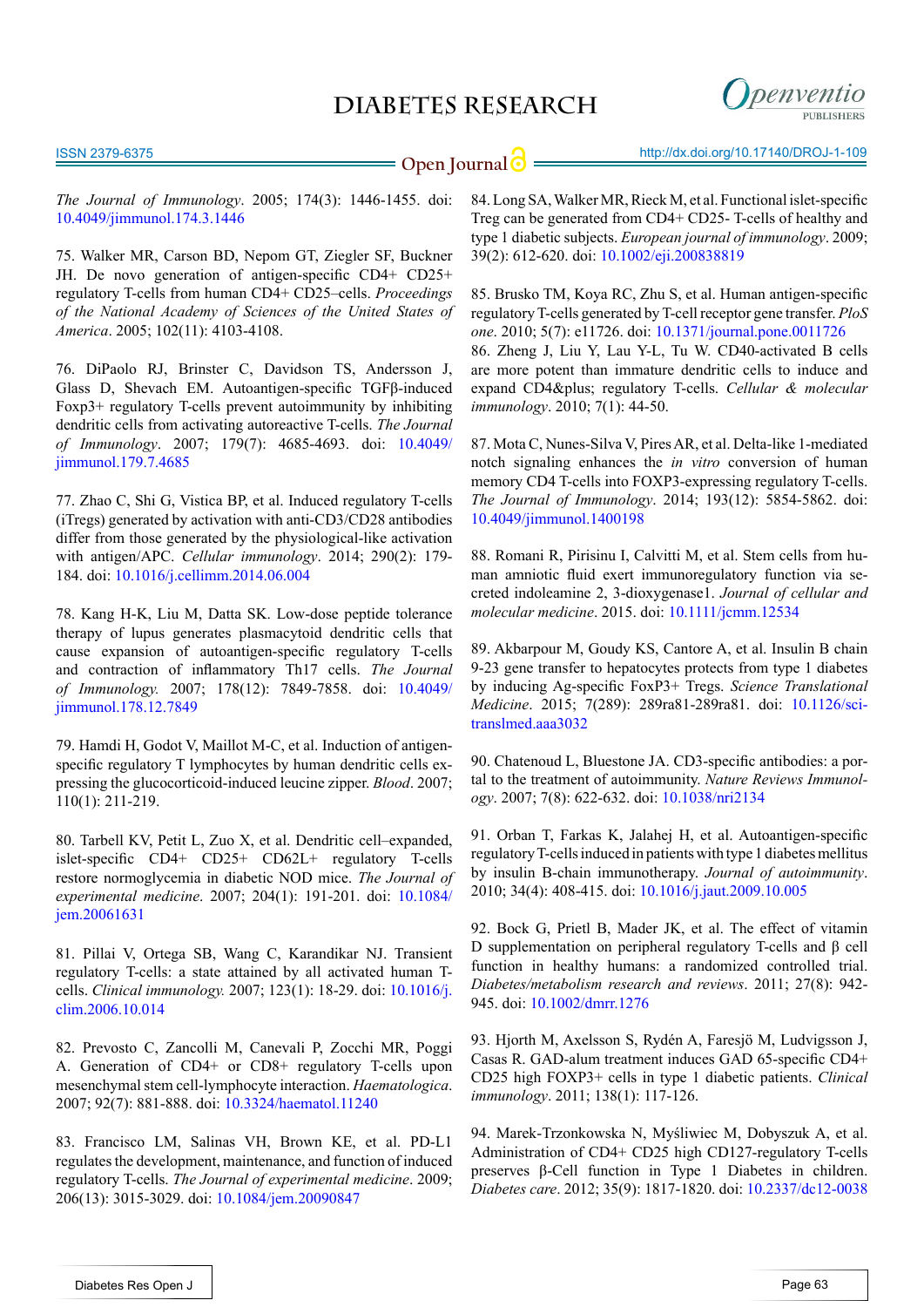penventio

*The Journal of Immunology*. 2005; 174(3): 1446-1455. doi: [10.4049/jimmunol.174.3.1446](http://www.jimmunol.org/content/174/3/1446.long)

<span id="page-9-0"></span>75. Walker MR, Carson BD, Nepom GT, Ziegler SF, Buckner JH. De novo generation of antigen-specific CD4+ CD25+ regulatory T-cells from human CD4+ CD25–cells. *Proceedings of the National Academy of Sciences of the United States of America*. 2005; 102(11): 4103-4108.

<span id="page-9-1"></span>76. DiPaolo RJ, Brinster C, Davidson TS, Andersson J, Glass D, Shevach EM. Autoantigen-specific TGFβ-induced Foxp3+ regulatory T-cells prevent autoimmunity by inhibiting dendritic cells from activating autoreactive T-cells. *The Journal of Immunology*. 2007; 179(7): 4685-4693. doi: [10.4049/](http://www.jimmunol.org/content/179/7/4685) [jimmunol.179.7.4685](http://www.jimmunol.org/content/179/7/4685)

77. Zhao C, Shi G, Vistica BP, et al. Induced regulatory T-cells (iTregs) generated by activation with anti-CD3/CD28 antibodies differ from those generated by the physiological-like activation with antigen/APC. *Cellular immunology*. 2014; 290(2): 179- 184. doi: [10.1016/j.cellimm.2014.06.004](http://www.ncbi.nlm.nih.gov/pubmed/25038545)

<span id="page-9-2"></span>78. Kang H-K, Liu M, Datta SK. Low-dose peptide tolerance therapy of lupus generates plasmacytoid dendritic cells that cause expansion of autoantigen-specific regulatory T-cells and contraction of inflammatory Th17 cells. *The Journal of Immunology.* 2007; 178(12): 7849-7858. doi: [10.4049/](http://www.jimmunol.org/content/178/12/7849.long) [jimmunol.178.12.7849](http://www.jimmunol.org/content/178/12/7849.long)

<span id="page-9-18"></span>79. Hamdi H, Godot V, Maillot M-C, et al. Induction of antigenspecific regulatory T lymphocytes by human dendritic cells expressing the glucocorticoid-induced leucine zipper. *Blood*. 2007; 110(1): 211-219.

<span id="page-9-3"></span>80. Tarbell KV, Petit L, Zuo X, et al. Dendritic cell–expanded, islet-specific CD4+ CD25+ CD62L+ regulatory T-cells restore normoglycemia in diabetic NOD mice. *The Journal of experimental medicine*. 2007; 204(1): 191-201. doi: [10.1084/](http://jem.rupress.org/content/204/1/191.long) [jem.20061631](http://jem.rupress.org/content/204/1/191.long)

<span id="page-9-4"></span>81. Pillai V, Ortega SB, Wang C, Karandikar NJ. Transient regulatory T-cells: a state attained by all activated human Tcells. *Clinical immunology.* 2007; 123(1): 18-29. doi: [10.1016/j.](http://www.ncbi.nlm.nih.gov/pmc/articles/PMC1868523/) [clim.2006.10.014](http://www.ncbi.nlm.nih.gov/pmc/articles/PMC1868523/)

<span id="page-9-5"></span>82. Prevosto C, Zancolli M, Canevali P, Zocchi MR, Poggi A. Generation of CD4+ or CD8+ regulatory T-cells upon mesenchymal stem cell-lymphocyte interaction. *Haematologica*. 2007; 92(7): 881-888. doi: [10.3324/haematol.11240](http://www.haematologica.org/content/92/7/881.long)

<span id="page-9-6"></span>83. Francisco LM, Salinas VH, Brown KE, et al. PD-L1 regulates the development, maintenance, and function of induced regulatory T-cells. *The Journal of experimental medicine*. 2009; 206(13): 3015-3029. doi: [10.1084/jem.20090847](http://www.ncbi.nlm.nih.gov/pubmed/20008522)

<span id="page-9-7"></span>84. Long SA, Walker MR, Rieck M, et al. Functional islet-specific Treg can be generated from CD4+ CD25- T-cells of healthy and type 1 diabetic subjects. *European journal of immunology*. 2009; 39(2): 612-620. doi: [10.1002/eji.200838819](http://www.ncbi.nlm.nih.gov/pubmed/19180473)

<span id="page-9-9"></span><span id="page-9-8"></span>85. Brusko TM, Koya RC, Zhu S, et al. Human antigen-specific regulatory T-cells generated by T-cell receptor gene transfer. *PloS one*. 2010; 5(7): e11726. doi: [10.1371/journal.pone.0011726](http://www.ncbi.nlm.nih.gov/pubmed/20668510) 86. Zheng J, Liu Y, Lau Y-L, Tu W. CD40-activated B cells are more potent than immature dendritic cells to induce and expand CD4+ regulatory T-cells. *Cellular & molecular immunology*. 2010; 7(1): 44-50.

<span id="page-9-10"></span>87. Mota C, Nunes-Silva V, Pires AR, et al. Delta-like 1-mediated notch signaling enhances the *in vitro* conversion of human memory CD4 T-cells into FOXP3-expressing regulatory T-cells. *The Journal of Immunology*. 2014; 193(12): 5854-5862. doi: [10.4049/jimmunol.1400198](http://www.ncbi.nlm.nih.gov/pubmed/25367118)

<span id="page-9-11"></span>88. Romani R, Pirisinu I, Calvitti M, et al. Stem cells from human amniotic fluid exert immunoregulatory function via secreted indoleamine 2, 3-dioxygenase1. *Journal of cellular and molecular medicine*. 2015. doi: [10.1111/jcmm.12534](http://www.ncbi.nlm.nih.gov/pubmed/25783564)

<span id="page-9-12"></span>89. Akbarpour M, Goudy KS, Cantore A, et al. Insulin B chain 9-23 gene transfer to hepatocytes protects from type 1 diabetes by inducing Ag-specific FoxP3+ Tregs. *Science Translational Medicine*. 2015; 7(289): 289ra81-289ra81. doi: [10.1126/sci](http://stm.sciencemag.org/content/7/289/289ra81)[translmed.aaa3032](http://stm.sciencemag.org/content/7/289/289ra81)

<span id="page-9-13"></span>90. Chatenoud L, Bluestone JA. CD3-specific antibodies: a portal to the treatment of autoimmunity. *Nature Reviews Immunology*. 2007; 7(8): 622-632. doi: [10.1038/nri2134](http://www.nature.com/nri/journal/v7/n8/abs/nri2134.html)

<span id="page-9-14"></span>91. Orban T, Farkas K, Jalahej H, et al. Autoantigen-specific regulatory T-cells induced in patients with type 1 diabetes mellitus by insulin B-chain immunotherapy. *Journal of autoimmunity*. 2010; 34(4): 408-415. doi: [10.1016/j.jaut.2009.10.005](http://www.ncbi.nlm.nih.gov/pubmed/19931408)

<span id="page-9-15"></span>92. Bock G, Prietl B, Mader JK, et al. The effect of vitamin D supplementation on peripheral regulatory T-cells and β cell function in healthy humans: a randomized controlled trial. *Diabetes/metabolism research and reviews*. 2011; 27(8): 942- 945. doi: [10.1002/dmrr.1276](http://www.ncbi.nlm.nih.gov/pubmed/22069289)

<span id="page-9-16"></span>93. Hjorth M, Axelsson S, Rydén A, Faresjö M, Ludvigsson J, Casas R. GAD-alum treatment induces GAD 65-specific CD4+ CD25 high FOXP3+ cells in type 1 diabetic patients. *Clinical immunology*. 2011; 138(1): 117-126.

<span id="page-9-17"></span>94. Marek-Trzonkowska N, Myśliwiec M, Dobyszuk A, et al. Administration of CD4+ CD25 high CD127-regulatory T-cells preserves β-Cell function in Type 1 Diabetes in children. *Diabetes care*. 2012; 35(9): 1817-1820. doi: [10.2337/dc12-0038](http://www.ncbi.nlm.nih.gov/pubmed/22723342)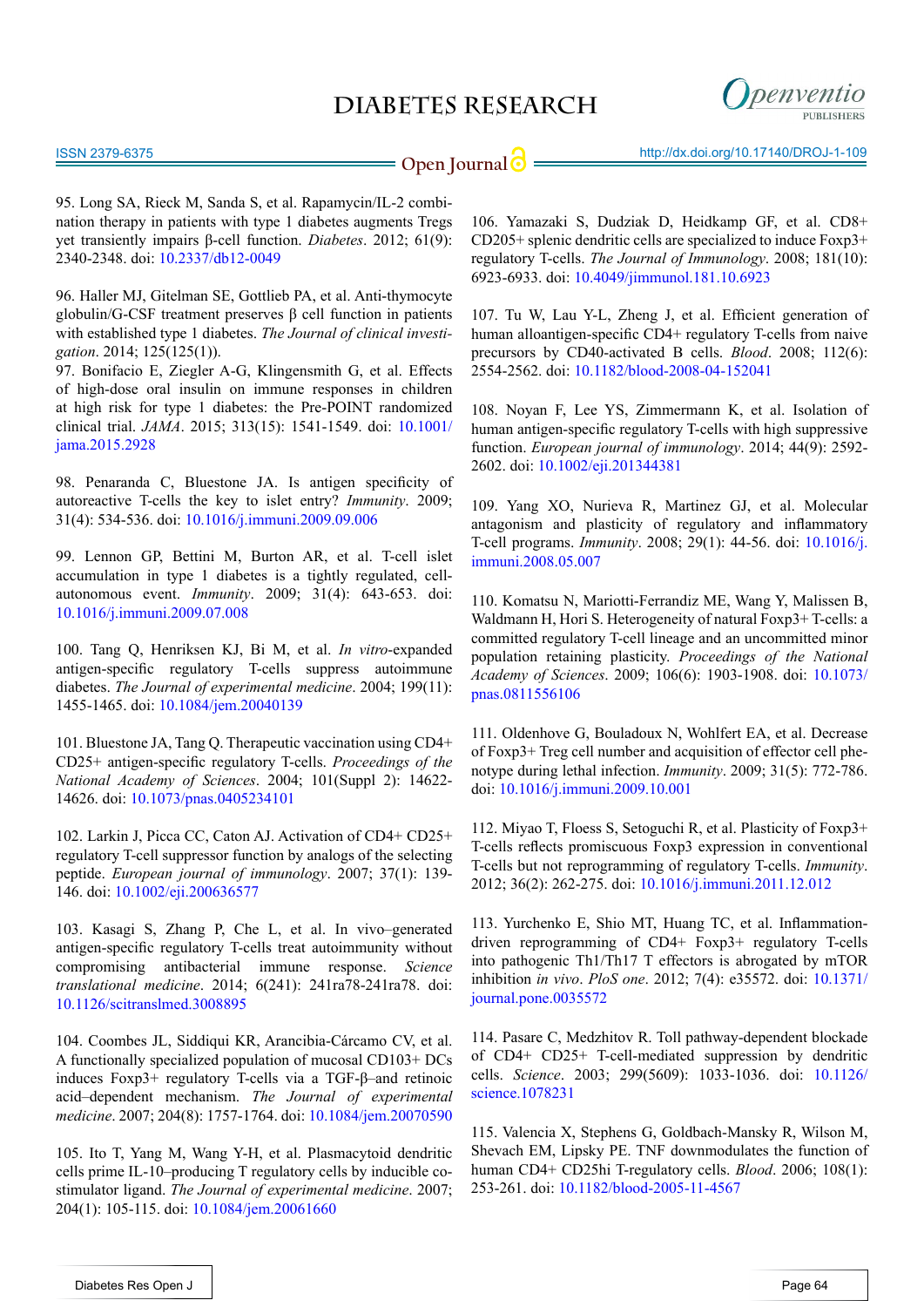

<span id="page-10-6"></span>95. Long SA, Rieck M, Sanda S, et al. Rapamycin/IL-2 combination therapy in patients with type 1 diabetes augments Tregs yet transiently impairs β-cell function. *Diabetes*. 2012; 61(9): 2340-2348. doi: [10.2337/db12-0049](http://www.ncbi.nlm.nih.gov/pubmed/22721971)

<span id="page-10-7"></span>96. Haller MJ, Gitelman SE, Gottlieb PA, et al. Anti-thymocyte globulin/G-CSF treatment preserves β cell function in patients with established type 1 diabetes. *The Journal of clinical investigation*. 2014; 125(125(1)).

97. Bonifacio E, Ziegler A-G, Klingensmith G, et al. Effects of high-dose oral insulin on immune responses in children at high risk for type 1 diabetes: the Pre-POINT randomized clinical trial. *JAMA*. 2015; 313(15): 1541-1549. doi: [10.1001/](http://jama.jamanetwork.com/article.aspx?articleid=2275446) [jama.2015.2928](http://jama.jamanetwork.com/article.aspx?articleid=2275446)

<span id="page-10-0"></span>98. Penaranda C, Bluestone JA. Is antigen specificity of autoreactive T-cells the key to islet entry? *Immunity*. 2009; 31(4): 534-536. doi: [10.1016/j.immuni.2009.09.006](http://www.ncbi.nlm.nih.gov/pubmed/19833083)

99. Lennon GP, Bettini M, Burton AR, et al. T-cell islet accumulation in type 1 diabetes is a tightly regulated, cellautonomous event. *Immunity*. 2009; 31(4): 643-653. doi: [10.1016/j.immuni.2009.07.008](http://www.ncbi.nlm.nih.gov/pubmed/19818656)

<span id="page-10-1"></span>100. Tang Q, Henriksen KJ, Bi M, et al. *In vitro*-expanded antigen-specific regulatory T-cells suppress autoimmune diabetes. *The Journal of experimental medicine*. 2004; 199(11): 1455-1465. doi: [10.1084/jem.20040139](http://jem.rupress.org/content/199/11/1455)

101. Bluestone JA, Tang Q. Therapeutic vaccination using CD4+ CD25+ antigen-specific regulatory T-cells. *Proceedings of the National Academy of Sciences*. 2004; 101(Suppl 2): 14622- 14626. doi: [10.1073/pnas.0405234101](https://escholarship.org/uc/item/5dz360m8)

<span id="page-10-2"></span>102. Larkin J, Picca CC, Caton AJ. Activation of CD4+ CD25+ regulatory T-cell suppressor function by analogs of the selecting peptide. *European journal of immunology*. 2007; 37(1): 139- 146. doi: [10.1002/eji.200636577](http://onlinelibrary.wiley.com/doi/10.1002/eji.200636577/abstract;jsessionid=6E2428A0F910988EFF37B8CC1B3269BC.f03t02)

<span id="page-10-3"></span>103. Kasagi S, Zhang P, Che L, et al. In vivo–generated antigen-specific regulatory T-cells treat autoimmunity without compromising antibacterial immune response. *Science translational medicine*. 2014; 6(241): 241ra78-241ra78. doi: [10.1126/scitranslmed.3008895](http://www.ncbi.nlm.nih.gov/pubmed/24944193)

<span id="page-10-4"></span>104. Coombes JL, Siddiqui KR, Arancibia-Cárcamo CV, et al. A functionally specialized population of mucosal CD103+ DCs induces Foxp3+ regulatory T-cells via a TGF-β–and retinoic acid–dependent mechanism. *The Journal of experimental medicine*. 2007; 204(8): 1757-1764. doi: [10.1084/jem.20070590](http://jem.rupress.org/content/204/8/1757.long)

105. Ito T, Yang M, Wang Y-H, et al. Plasmacytoid dendritic cells prime IL-10–producing T regulatory cells by inducible costimulator ligand. *The Journal of experimental medicine*. 2007; 204(1): 105-115. doi: [10.1084/jem.20061660](http://jem.rupress.org/content/204/1/105.long)

106. Yamazaki S, Dudziak D, Heidkamp GF, et al. CD8+ CD205+ splenic dendritic cells are specialized to induce Foxp3+ regulatory T-cells. *The Journal of Immunology*. 2008; 181(10): 6923-6933. doi: [10.4049/jimmunol.181.10.6923](http://www.jimmunol.org/content/181/10/6923.long)

<span id="page-10-5"></span>107. Tu W, Lau Y-L, Zheng J, et al. Efficient generation of human alloantigen-specific CD4+ regulatory T-cells from naive precursors by CD40-activated B cells. *Blood*. 2008; 112(6): 2554-2562. doi: [10.1182/blood-2008-04-152041](http://www.ncbi.nlm.nih.gov/pubmed/18599794)

<span id="page-10-8"></span>108. Noyan F, Lee YS, Zimmermann K, et al. Isolation of human antigen-specific regulatory T-cells with high suppressive function. *European journal of immunology*. 2014; 44(9): 2592- 2602. doi: [10.1002/eji.201344381](http://www.ncbi.nlm.nih.gov/pubmed/24990119)

<span id="page-10-9"></span>109. Yang XO, Nurieva R, Martinez GJ, et al. Molecular antagonism and plasticity of regulatory and inflammatory T-cell programs. *Immunity*. 2008; 29(1): 44-56. doi: [10.1016/j.](http://www.ncbi.nlm.nih.gov/pubmed/18585065) [immuni.2008.05.007](http://www.ncbi.nlm.nih.gov/pubmed/18585065)

110. Komatsu N, Mariotti-Ferrandiz ME, Wang Y, Malissen B, Waldmann H, Hori S. Heterogeneity of natural Foxp3+ T-cells: a committed regulatory T-cell lineage and an uncommitted minor population retaining plasticity. *Proceedings of the National Academy of Sciences*. 2009; 106(6): 1903-1908. doi: [10.1073/](http://www.ncbi.nlm.nih.gov/pubmed/19174509) [pnas.0811556106](http://www.ncbi.nlm.nih.gov/pubmed/19174509)

111. Oldenhove G, Bouladoux N, Wohlfert EA, et al. Decrease of Foxp3+ Treg cell number and acquisition of effector cell phenotype during lethal infection. *Immunity*. 2009; 31(5): 772-786. doi: [10.1016/j.immuni.2009.10.001](http://www.ncbi.nlm.nih.gov/pubmed/19896394)

112. Miyao T, Floess S, Setoguchi R, et al. Plasticity of Foxp3+ T-cells reflects promiscuous Foxp3 expression in conventional T-cells but not reprogramming of regulatory T-cells. *Immunity*. 2012; 36(2): 262-275. doi: [10.1016/j.immuni.2011.12.012](http://www.cell.com/immunity/abstract/S1074-7613(12)00040-4)

113. Yurchenko E, Shio MT, Huang TC, et al. Inflammationdriven reprogramming of CD4+ Foxp3+ regulatory T-cells into pathogenic Th1/Th17 T effectors is abrogated by mTOR inhibition *in vivo*. *PloS one*. 2012; 7(4): e35572. doi: [10.1371/](http://journals.plos.org/plosone/article?id=10.1371/journal.pone.0035572) [journal.pone.0035572](http://journals.plos.org/plosone/article?id=10.1371/journal.pone.0035572)

<span id="page-10-10"></span>114. Pasare C, Medzhitov R. Toll pathway-dependent blockade of CD4+ CD25+ T-cell-mediated suppression by dendritic cells. *Science*. 2003; 299(5609): 1033-1036. doi: [10.1126/](http://www.ncbi.nlm.nih.gov/pubmed/12532024) [science.1078231](http://www.ncbi.nlm.nih.gov/pubmed/12532024)

115. Valencia X, Stephens G, Goldbach-Mansky R, Wilson M, Shevach EM, Lipsky PE. TNF downmodulates the function of human CD4+ CD25hi T-regulatory cells. *Blood*. 2006; 108(1): 253-261. doi: [10.1182/blood-2005-11-4567](http://www.bloodjournal.org/content/108/1/253.long?sso-checked=true)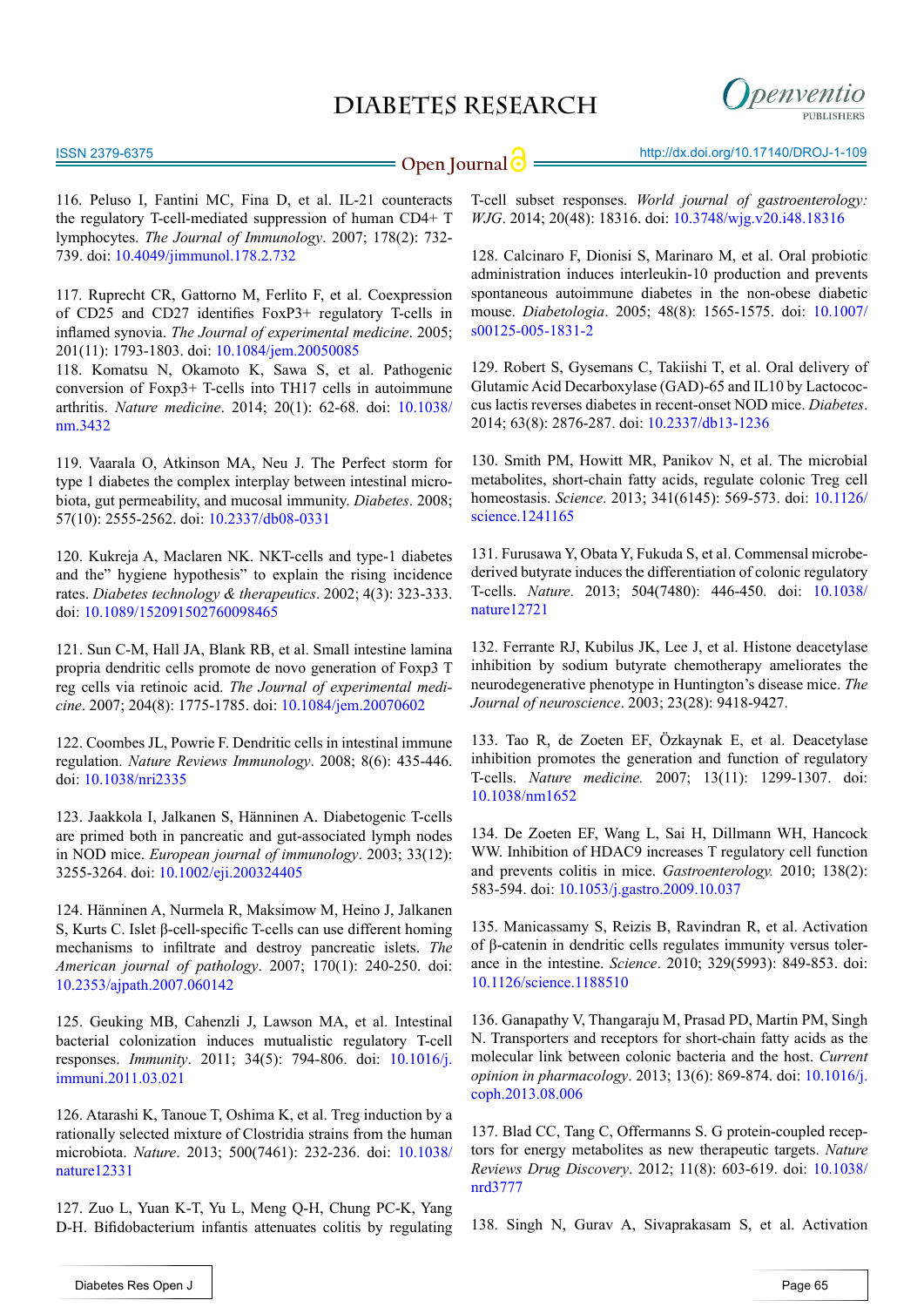

116. Peluso I, Fantini MC, Fina D, et al. IL-21 counteracts the regulatory T-cell-mediated suppression of human CD4+ T lymphocytes. *The Journal of Immunology*. 2007; 178(2): 732- 739. doi: [10.4049/jimmunol.178.2.732](http://www.jimmunol.org/content/178/2/732.long)

<span id="page-11-0"></span>117. Ruprecht CR, Gattorno M, Ferlito F, et al. Coexpression of CD25 and CD27 identifies FoxP3+ regulatory T-cells in inflamed synovia. *The Journal of experimental medicine*. 2005; 201(11): 1793-1803. doi: [10.1084/jem.20050085](http://jem.rupress.org/content/201/11/1793.long)

118. Komatsu N, Okamoto K, Sawa S, et al. Pathogenic conversion of Foxp3+ T-cells into TH17 cells in autoimmune arthritis. *Nature medicine*. 2014; 20(1): 62-68. doi: [10.1038/](http://www.ncbi.nlm.nih.gov/pubmed/24362934) [nm.3432](http://www.ncbi.nlm.nih.gov/pubmed/24362934)

<span id="page-11-1"></span>119. Vaarala O, Atkinson MA, Neu J. The Perfect storm for type 1 diabetes the complex interplay between intestinal microbiota, gut permeability, and mucosal immunity. *Diabetes*. 2008; 57(10): 2555-2562. doi: [10.2337/db08-0331](http://www.ncbi.nlm.nih.gov/pubmed/18820210)

120. Kukreja A, Maclaren NK. NKT-cells and type-1 diabetes and the" hygiene hypothesis" to explain the rising incidence rates. *Diabetes technology & therapeutics*. 2002; 4(3): 323-333. doi: [10.1089/152091502760098465](http://online.liebertpub.com/doi/abs/10.1089/152091502760098465)

<span id="page-11-2"></span>121. Sun C-M, Hall JA, Blank RB, et al. Small intestine lamina propria dendritic cells promote de novo generation of Foxp3 T reg cells via retinoic acid. *The Journal of experimental medicine*. 2007; 204(8): 1775-1785. doi: [10.1084/jem.20070602](http://jem.rupress.org/content/204/8/1775.long)

122. Coombes JL, Powrie F. Dendritic cells in intestinal immune regulation. *Nature Reviews Immunology*. 2008; 8(6): 435-446. doi: [10.1038/nri2335](http://www.ncbi.nlm.nih.gov/pubmed/18500229)

<span id="page-11-3"></span>123. Jaakkola I, Jalkanen S, Hänninen A. Diabetogenic T-cells are primed both in pancreatic and gut-associated lymph nodes in NOD mice. *European journal of immunology*. 2003; 33(12): 3255-3264. doi: [10.1002/eji.200324405](http://onlinelibrary.wiley.com/doi/10.1002/eji.200324405/abstract)

124. Hänninen A, Nurmela R, Maksimow M, Heino J, Jalkanen S, Kurts C. Islet β-cell-specific T-cells can use different homing mechanisms to infiltrate and destroy pancreatic islets. *The American journal of pathology*. 2007; 170(1): 240-250. doi: [10.2353/ajpath.2007.060142](http://ajp.amjpathol.org/article/S0002-9440(10)60849-8/abstract)

<span id="page-11-4"></span>125. Geuking MB, Cahenzli J, Lawson MA, et al. Intestinal bacterial colonization induces mutualistic regulatory T-cell responses. *Immunity*. 2011; 34(5): 794-806. doi: [10.1016/j.](http://www.cell.com/immunity/abstract/S1074-7613(11)00181-6) [immuni.2011.03.021](http://www.cell.com/immunity/abstract/S1074-7613(11)00181-6)

<span id="page-11-5"></span>126. Atarashi K, Tanoue T, Oshima K, et al. Treg induction by a rationally selected mixture of Clostridia strains from the human microbiota. *Nature*. 2013; 500(7461): 232-236. doi: [10.1038/](http://www.nature.com/nature/journal/v500/n7461/full/nature12331.html) [nature12331](http://www.nature.com/nature/journal/v500/n7461/full/nature12331.html)

<span id="page-11-6"></span>127. Zuo L, Yuan K-T, Yu L, Meng Q-H, Chung PC-K, Yang D-H. Bifidobacterium infantis attenuates colitis by regulating

**Open Journal | impact the state of the state of the state of the state of the state of the state of the state of the state of the Space Space Space Space Space Space Space Space Space Space Space Space Space Space Space S** 

T-cell subset responses. *World journal of gastroenterology: WJG*. 2014; 20(48): 18316. doi: [10.3748/wjg.v20.i48.18316](http://www.ncbi.nlm.nih.gov/pubmed/25561798) 

<span id="page-11-7"></span>128. Calcinaro F, Dionisi S, Marinaro M, et al. Oral probiotic administration induces interleukin-10 production and prevents spontaneous autoimmune diabetes in the non-obese diabetic mouse. *Diabetologia*. 2005; 48(8): 1565-1575. doi: [10.1007/](http://link.springer.com/article/10.1007%2Fs00125-005-1831-2) [s00125-005-1831-2](http://link.springer.com/article/10.1007%2Fs00125-005-1831-2)

<span id="page-11-8"></span>129. Robert S, Gysemans C, Takiishi T, et al. Oral delivery of Glutamic Acid Decarboxylase (GAD)-65 and IL10 by Lactococcus lactis reverses diabetes in recent-onset NOD mice. *Diabetes*. 2014; 63(8): 2876-287. doi: [10.2337/db13-1236](http://www.ncbi.nlm.nih.gov/pubmed/24677716)

<span id="page-11-9"></span>130. Smith PM, Howitt MR, Panikov N, et al. The microbial metabolites, short-chain fatty acids, regulate colonic Treg cell homeostasis. *Science*. 2013; 341(6145): 569-573. doi: [10.1126/](http://www.sciencemag.org/content/341/6145/569.short) [science.1241165](http://www.sciencemag.org/content/341/6145/569.short)

131. Furusawa Y, Obata Y, Fukuda S, et al. Commensal microbederived butyrate induces the differentiation of colonic regulatory T-cells. *Nature*. 2013; 504(7480): 446-450. doi: [10.1038/](http://www.nature.com/nature/journal/v504/n7480/full/nature12721.html) [nature12721](http://www.nature.com/nature/journal/v504/n7480/full/nature12721.html)

<span id="page-11-10"></span>132. Ferrante RJ, Kubilus JK, Lee J, et al. Histone deacetylase inhibition by sodium butyrate chemotherapy ameliorates the neurodegenerative phenotype in Huntington's disease mice. *The Journal of neuroscience*. 2003; 23(28): 9418-9427.

133. Tao R, de Zoeten EF, Özkaynak E, et al. Deacetylase inhibition promotes the generation and function of regulatory T-cells. *Nature medicine.* 2007; 13(11): 1299-1307. doi: [10.1038/nm1652](http://www.nature.com/nm/journal/v13/n11/full/nm1652.html)

134. De Zoeten EF, Wang L, Sai H, Dillmann WH, Hancock WW. Inhibition of HDAC9 increases T regulatory cell function and prevents colitis in mice. *Gastroenterology.* 2010; 138(2): 583-594. doi: [10.1053/j.gastro.2009.10.037](http://www.ncbi.nlm.nih.gov/pubmed/19879272)

<span id="page-11-11"></span>135. Manicassamy S, Reizis B, Ravindran R, et al. Activation of β-catenin in dendritic cells regulates immunity versus tolerance in the intestine. *Science*. 2010; 329(5993): 849-853. doi: [10.1126/science.1188510](http://www.ncbi.nlm.nih.gov/pubmed/20705860)

136. Ganapathy V, Thangaraju M, Prasad PD, Martin PM, Singh N. Transporters and receptors for short-chain fatty acids as the molecular link between colonic bacteria and the host. *Current opinion in pharmacology*. 2013; 13(6): 869-874. doi: [10.1016/j.](http://www.ncbi.nlm.nih.gov/pubmed/23978504) [coph.2013.08.006](http://www.ncbi.nlm.nih.gov/pubmed/23978504)

<span id="page-11-12"></span>137. Blad CC, Tang C, Offermanns S. G protein-coupled receptors for energy metabolites as new therapeutic targets. *Nature Reviews Drug Discovery*. 2012; 11(8): 603-619. doi: [10.1038/](http://www.nature.com/nrd/journal/v11/n8/full/nrd3777.html) [nrd3777](http://www.nature.com/nrd/journal/v11/n8/full/nrd3777.html)

138. Singh N, Gurav A, Sivaprakasam S, et al. Activation